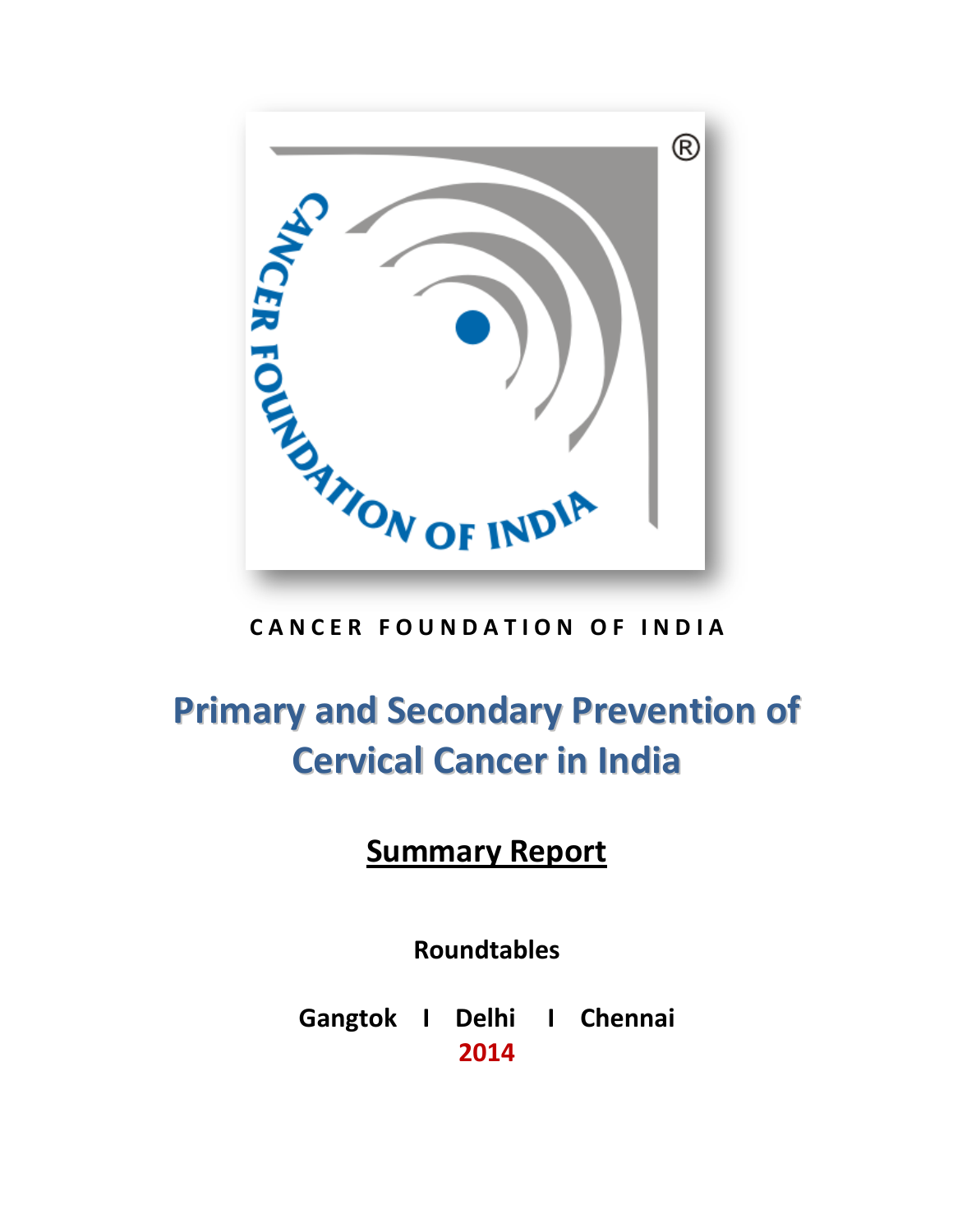

# **Primary and Secondary Prevention of Cervical Cancer in India**

## **Summary Report**

**Roundtables**

**Gangtok I Delhi I Chennai 2014**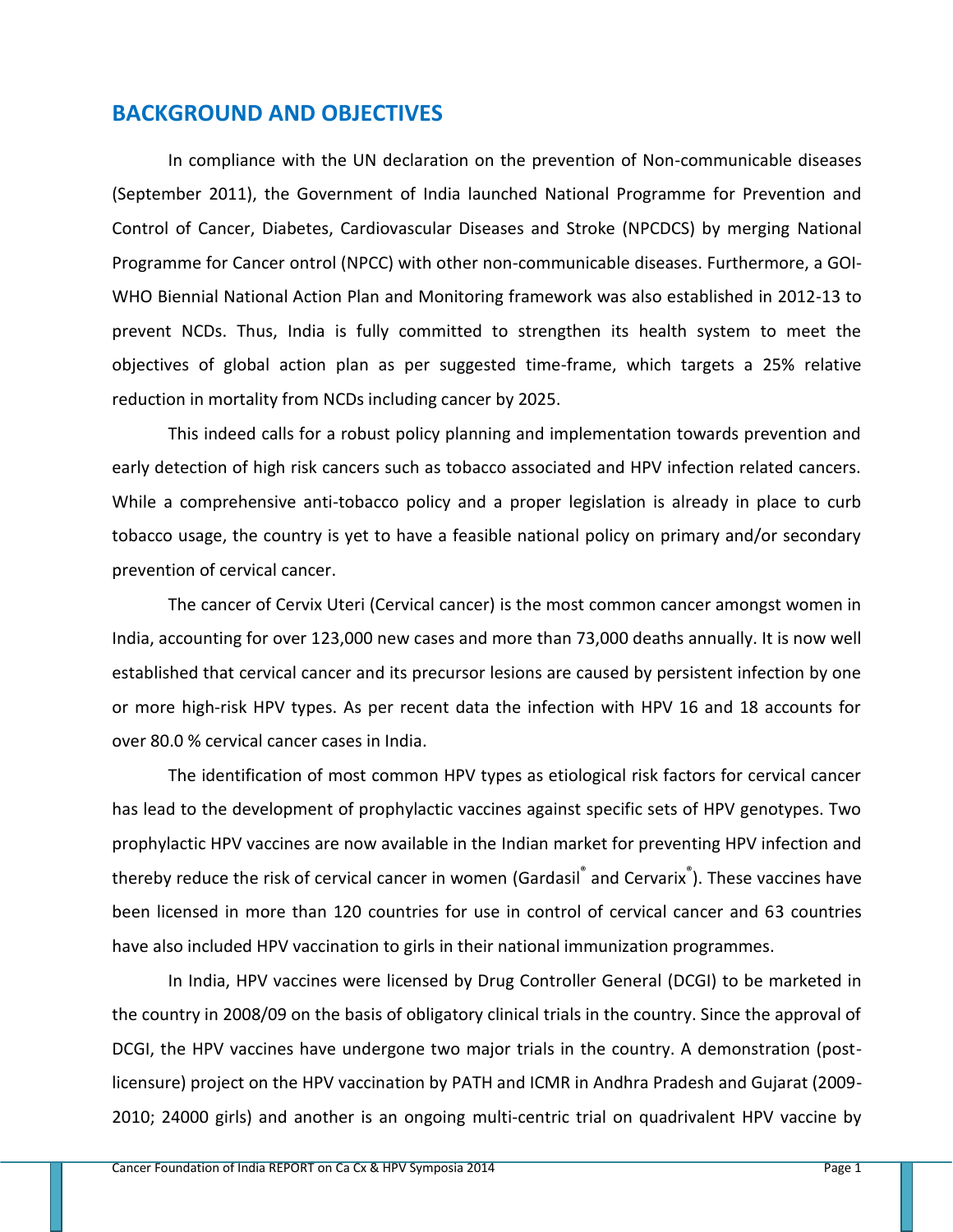### **BACKGROUND AND OBJECTIVES**

In compliance with the UN declaration on the prevention of Non-communicable diseases (September 2011), the Government of India launched National Programme for Prevention and Control of Cancer, Diabetes, Cardiovascular Diseases and Stroke (NPCDCS) by merging National Programme for Cancer ontrol (NPCC) with other non-communicable diseases. Furthermore, a GOI-WHO Biennial National Action Plan and Monitoring framework was also established in 2012-13 to prevent NCDs. Thus, India is fully committed to strengthen its health system to meet the objectives of global action plan as per suggested time-frame, which targets a 25% relative reduction in mortality from NCDs including cancer by 2025.

This indeed calls for a robust policy planning and implementation towards prevention and early detection of high risk cancers such as tobacco associated and HPV infection related cancers. While a comprehensive anti-tobacco policy and a proper legislation is already in place to curb tobacco usage, the country is yet to have a feasible national policy on primary and/or secondary prevention of cervical cancer.

The cancer of Cervix Uteri (Cervical cancer) is the most common cancer amongst women in India, accounting for over 123,000 new cases and more than 73,000 deaths annually. It is now well established that cervical cancer and its precursor lesions are caused by persistent infection by one or more high-risk HPV types. As per recent data the infection with HPV 16 and 18 accounts for over 80.0 % cervical cancer cases in India.

The identification of most common HPV types as etiological risk factors for cervical cancer has lead to the development of prophylactic vaccines against specific sets of HPV genotypes. Two prophylactic HPV vaccines are now available in the Indian market for preventing HPV infection and thereby reduce the risk of cervical cancer in women (Gardasil<sup>®</sup> and Cervarix<sup>®</sup>). These vaccines have been licensed in more than 120 countries for use in control of cervical cancer and 63 countries have also included HPV vaccination to girls in their national immunization programmes.

In India, HPV vaccines were licensed by Drug Controller General (DCGI) to be marketed in the country in 2008/09 on the basis of obligatory clinical trials in the country. Since the approval of DCGI, the HPV vaccines have undergone two major trials in the country. A demonstration (postlicensure) project on the HPV vaccination by PATH and ICMR in Andhra Pradesh and Gujarat (2009- 2010; 24000 girls) and another is an ongoing multi-centric trial on quadrivalent HPV vaccine by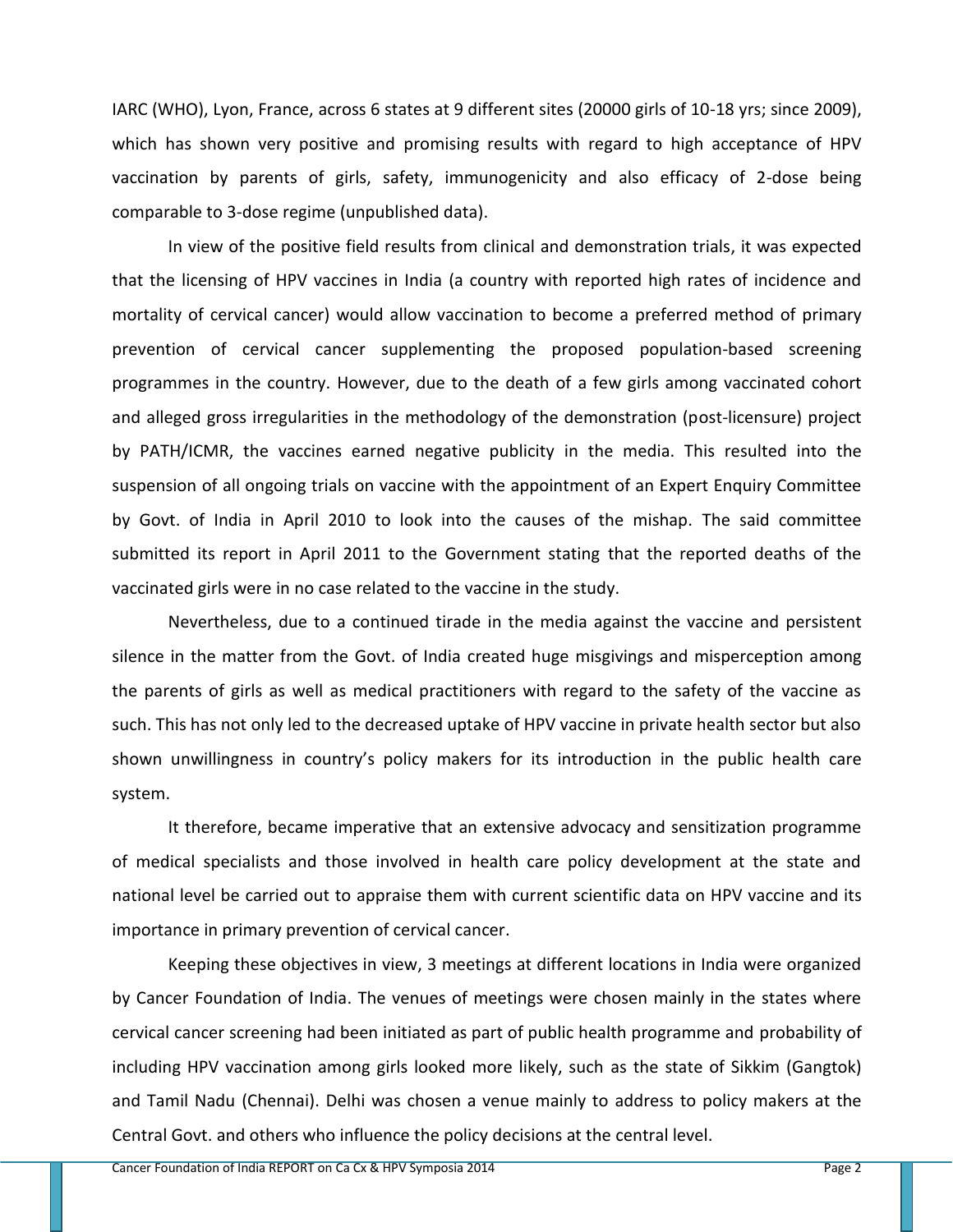IARC (WHO), Lyon, France, across 6 states at 9 different sites (20000 girls of 10-18 yrs; since 2009), which has shown very positive and promising results with regard to high acceptance of HPV vaccination by parents of girls, safety, immunogenicity and also efficacy of 2-dose being comparable to 3-dose regime (unpublished data).

In view of the positive field results from clinical and demonstration trials, it was expected that the licensing of HPV vaccines in India (a country with reported high rates of incidence and mortality of cervical cancer) would allow vaccination to become a preferred method of primary prevention of cervical cancer supplementing the proposed population-based screening programmes in the country. However, due to the death of a few girls among vaccinated cohort and alleged gross irregularities in the methodology of the demonstration (post-licensure) project by PATH/ICMR, the vaccines earned negative publicity in the media. This resulted into the suspension of all ongoing trials on vaccine with the appointment of an Expert Enquiry Committee by Govt. of India in April 2010 to look into the causes of the mishap. The said committee submitted its report in April 2011 to the Government stating that the reported deaths of the vaccinated girls were in no case related to the vaccine in the study.

Nevertheless, due to a continued tirade in the media against the vaccine and persistent silence in the matter from the Govt. of India created huge misgivings and misperception among the parents of girls as well as medical practitioners with regard to the safety of the vaccine as such. This has not only led to the decreased uptake of HPV vaccine in private health sector but also shown unwillingness in country's policy makers for its introduction in the public health care system.

It therefore, became imperative that an extensive advocacy and sensitization programme of medical specialists and those involved in health care policy development at the state and national level be carried out to appraise them with current scientific data on HPV vaccine and its importance in primary prevention of cervical cancer.

Keeping these objectives in view, 3 meetings at different locations in India were organized by Cancer Foundation of India. The venues of meetings were chosen mainly in the states where cervical cancer screening had been initiated as part of public health programme and probability of including HPV vaccination among girls looked more likely, such as the state of Sikkim (Gangtok) and Tamil Nadu (Chennai). Delhi was chosen a venue mainly to address to policy makers at the Central Govt. and others who influence the policy decisions at the central level.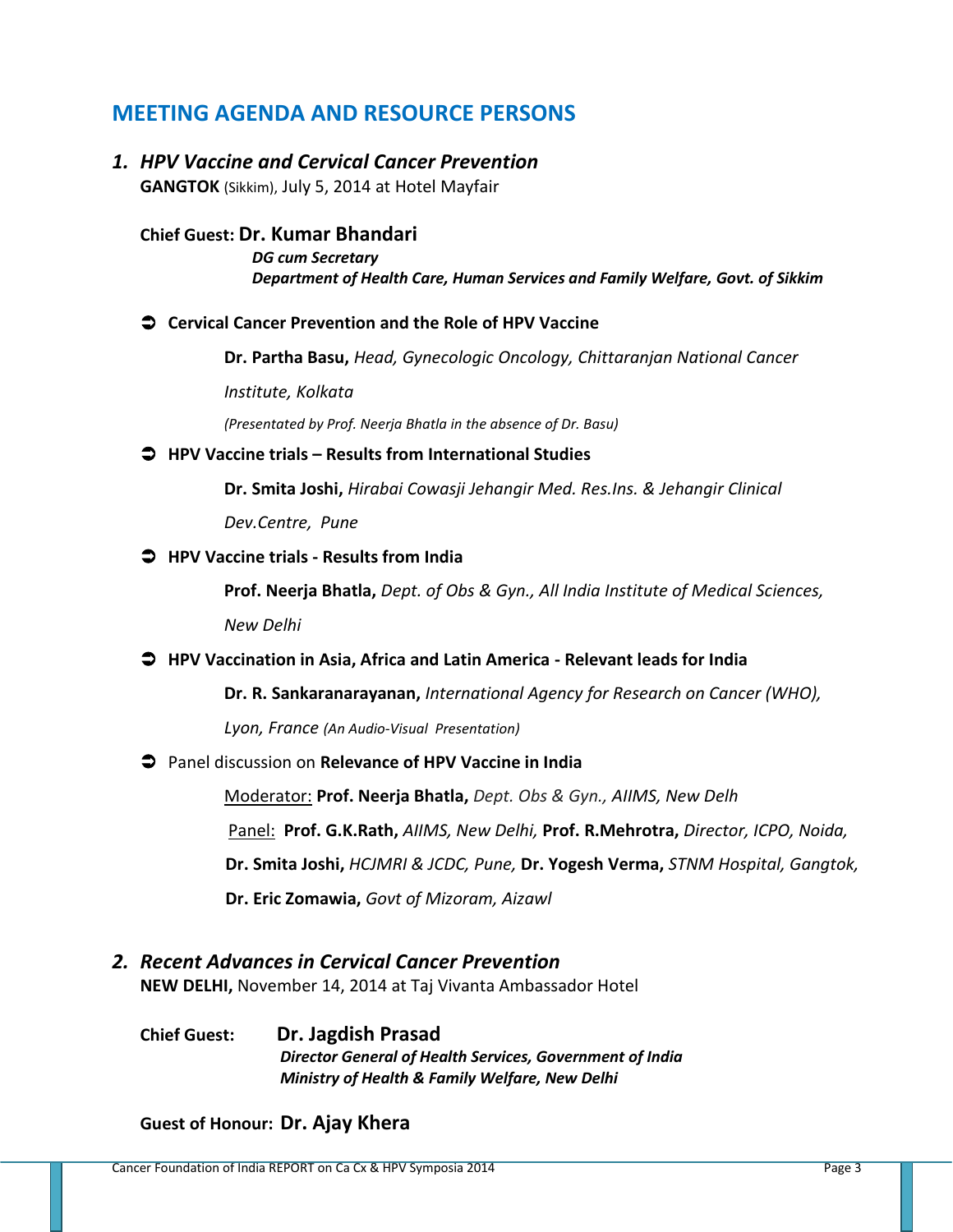### **MEETING AGENDA AND RESOURCE PERSONS**

*1. HPV Vaccine and Cervical Cancer Prevention* **GANGTOK** (Sikkim), July 5, 2014 at Hotel Mayfair

**Chief Guest: Dr. Kumar Bhandari** *DG cum Secretary Department of Health Care, Human Services and Family Welfare, Govt. of Sikkim*

#### **Cervical Cancer Prevention and the Role of HPV Vaccine**

**Dr. Partha Basu,** *Head, Gynecologic Oncology, Chittaranjan National Cancer* 

*Institute, Kolkata*

*(Presentated by Prof. Neerja Bhatla in the absence of Dr. Basu)*

#### **HPV Vaccine trials – Results from International Studies**

**Dr. Smita Joshi,** *Hirabai Cowasji Jehangir Med. Res.Ins. & Jehangir Clinical* 

*Dev.Centre, Pune*

#### **HPV Vaccine trials - Results from India**

**Prof. Neerja Bhatla,** *Dept. of Obs & Gyn., All India Institute of Medical Sciences, New Delhi*

### **HPV Vaccination in Asia, Africa and Latin America - Relevant leads for India**

**Dr. R. Sankaranarayanan,** *International Agency for Research on Cancer (WHO),* 

*Lyon, France (An Audio-Visual Presentation)*

### Panel discussion on **Relevance of HPV Vaccine in India**

Moderator: **Prof. Neerja Bhatla,** *Dept. Obs & Gyn., AIIMS, New Delh* Panel: **Prof. G.K.Rath,** *AIIMS, New Delhi,* **Prof. R.Mehrotra,** *Director, ICPO, Noida,* **Dr. Smita Joshi,** *HCJMRI & JCDC, Pune,* **Dr. Yogesh Verma,** *STNM Hospital, Gangtok,* **Dr. Eric Zomawia,** *Govt of Mizoram, Aizawl*

### *2. Recent Advances in Cervical Cancer Prevention*

**NEW DELHI,** November 14, 2014 at Taj Vivanta Ambassador Hotel

**Chief Guest: Dr. Jagdish Prasad** *Director General of Health Services, Government of India Ministry of Health & Family Welfare, New Delhi*

### **Guest of Honour: Dr. Ajay Khera**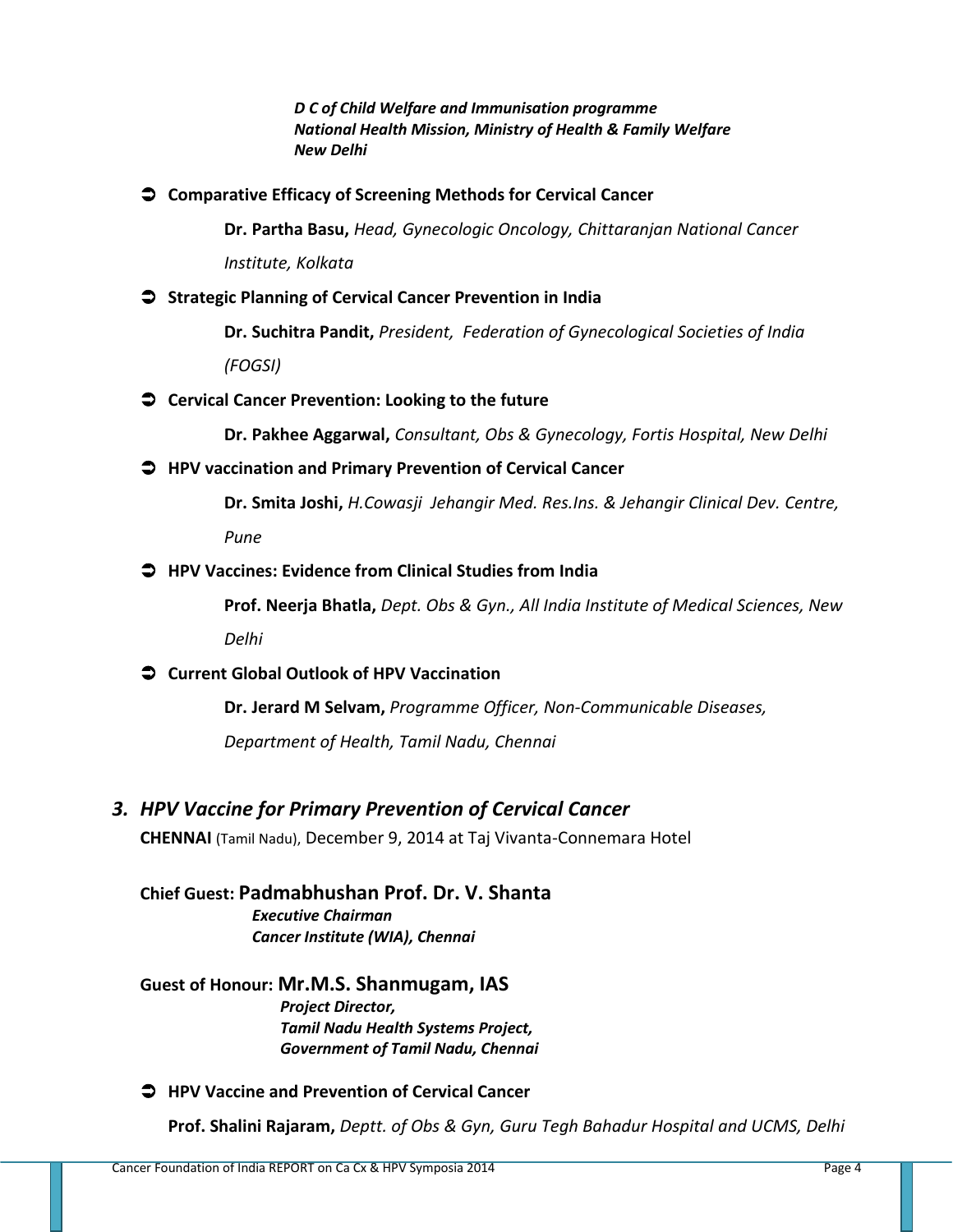*D C of Child Welfare and Immunisation programme National Health Mission, Ministry of Health & Family Welfare New Delhi*

**Comparative Efficacy of Screening Methods for Cervical Cancer** 

**Dr. Partha Basu,** *Head, Gynecologic Oncology, Chittaranjan National Cancer* 

*Institute, Kolkata*

**Strategic Planning of Cervical Cancer Prevention in India**

**Dr. Suchitra Pandit,** *President, Federation of Gynecological Societies of India* 

*(FOGSI)*

**Cervical Cancer Prevention: Looking to the future**

**Dr. Pakhee Aggarwal,** *Consultant, Obs & Gynecology, Fortis Hospital, New Delhi*

**HPV vaccination and Primary Prevention of Cervical Cancer**

**Dr. Smita Joshi,** *H.Cowasji Jehangir Med. Res.Ins. & Jehangir Clinical Dev. Centre, Pune*

**HPV Vaccines: Evidence from Clinical Studies from India**

**Prof. Neerja Bhatla,** *Dept. Obs & Gyn., All India Institute of Medical Sciences, New* 

*Delhi*

**Current Global Outlook of HPV Vaccination**

**Dr. Jerard M Selvam,** *Programme Officer, Non-Communicable Diseases,* 

*Department of Health, Tamil Nadu, Chennai*

*3. HPV Vaccine for Primary Prevention of Cervical Cancer*

**CHENNAI** (Tamil Nadu), December 9, 2014 at Taj Vivanta-Connemara Hotel

**Chief Guest: Padmabhushan Prof. Dr. V. Shanta** *Executive Chairman Cancer Institute (WIA), Chennai*

**Guest of Honour: Mr.M.S. Shanmugam, IAS**

*Project Director, Tamil Nadu Health Systems Project, Government of Tamil Nadu, Chennai*

**HPV Vaccine and Prevention of Cervical Cancer**

**Prof. Shalini Rajaram,** *Deptt. of Obs & Gyn, Guru Tegh Bahadur Hospital and UCMS, Delhi*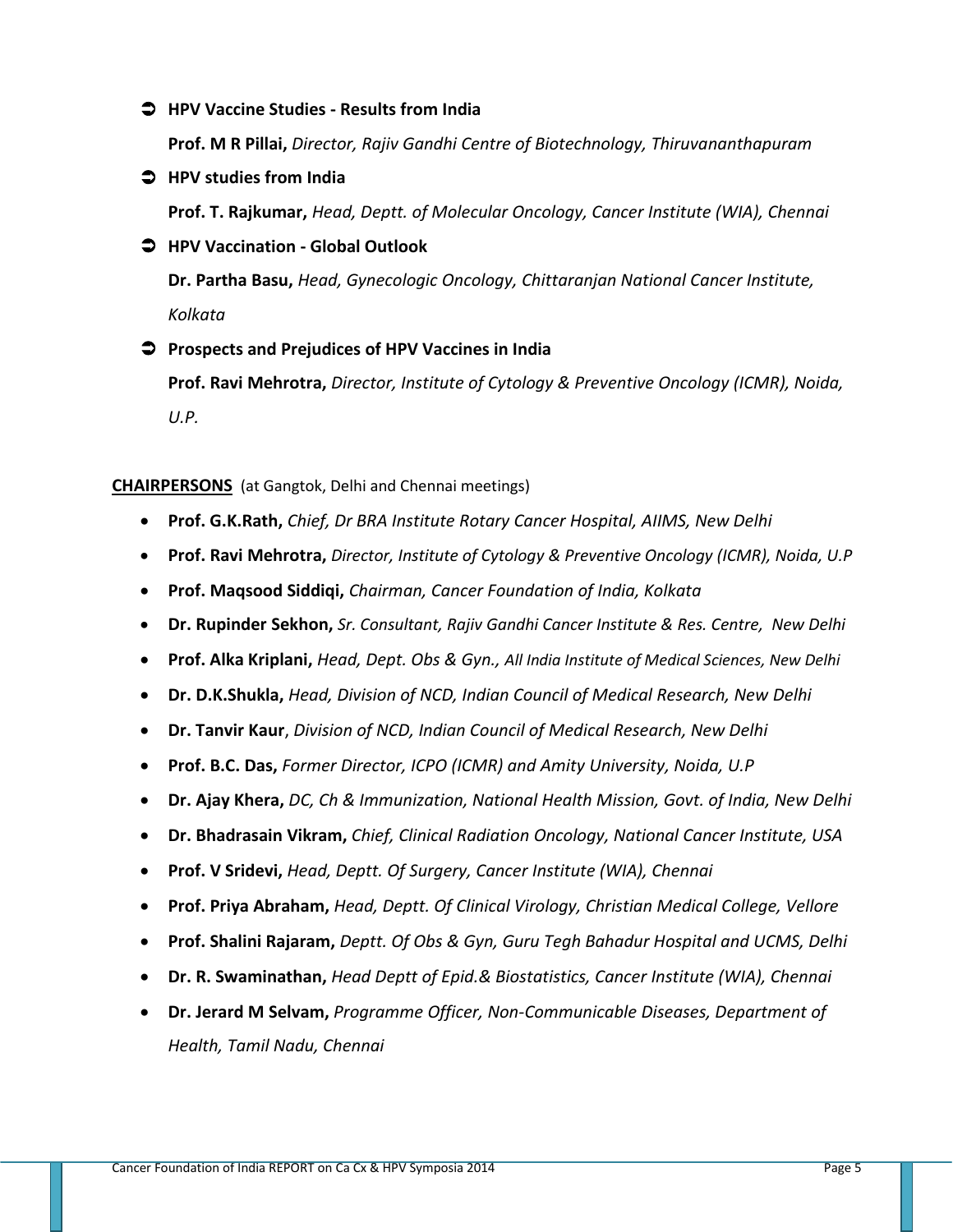### **HPV Vaccine Studies - Results from India**

**Prof. M R Pillai,** *Director, Rajiv Gandhi Centre of Biotechnology, Thiruvananthapuram*

**HPV studies from India**

**Prof. T. Rajkumar,** *Head, Deptt. of Molecular Oncology, Cancer Institute (WIA), Chennai*

**HPV Vaccination - Global Outlook** 

**Dr. Partha Basu,** *Head, Gynecologic Oncology, Chittaranjan National Cancer Institute, Kolkata*

### **Prospects and Prejudices of HPV Vaccines in India**

**Prof. Ravi Mehrotra,** *Director, Institute of Cytology & Preventive Oncology (ICMR), Noida, U.P.* 

#### **CHAIRPERSONS** (at Gangtok, Delhi and Chennai meetings)

- **Prof. G.K.Rath,** *Chief, Dr BRA Institute Rotary Cancer Hospital, AIIMS, New Delhi*
- **Prof. Ravi Mehrotra,** *Director, Institute of Cytology & Preventive Oncology (ICMR), Noida, U.P*
- **Prof. Maqsood Siddiqi,** *Chairman, Cancer Foundation of India, Kolkata*
- **Dr. Rupinder Sekhon,** *Sr. Consultant, Rajiv Gandhi Cancer Institute & Res. Centre, New Delhi*
- **Prof. Alka Kriplani,** *Head, Dept. Obs & Gyn., All India Institute of Medical Sciences, New Delhi*
- **Dr. D.K.Shukla,** *Head, Division of NCD, Indian Council of Medical Research, New Delhi*
- **Dr. Tanvir Kaur**, *Division of NCD, Indian Council of Medical Research, New Delhi*
- **Prof. B.C. Das,** *Former Director, ICPO (ICMR) and Amity University, Noida, U.P*
- **Dr. Ajay Khera,** *DC, Ch & Immunization, National Health Mission, Govt. of India, New Delhi*
- **Dr. Bhadrasain Vikram,** *Chief, Clinical Radiation Oncology, National Cancer Institute, USA*
- **Prof. V Sridevi,** *Head, Deptt. Of Surgery, Cancer Institute (WIA), Chennai*
- **Prof. Priya Abraham,** *Head, Deptt. Of Clinical Virology, Christian Medical College, Vellore*
- **Prof. Shalini Rajaram,** *Deptt. Of Obs & Gyn, Guru Tegh Bahadur Hospital and UCMS, Delhi*
- **Dr. R. Swaminathan,** *Head Deptt of Epid.& Biostatistics, Cancer Institute (WIA), Chennai*
- **Dr. Jerard M Selvam,** *Programme Officer, Non-Communicable Diseases, Department of Health, Tamil Nadu, Chennai*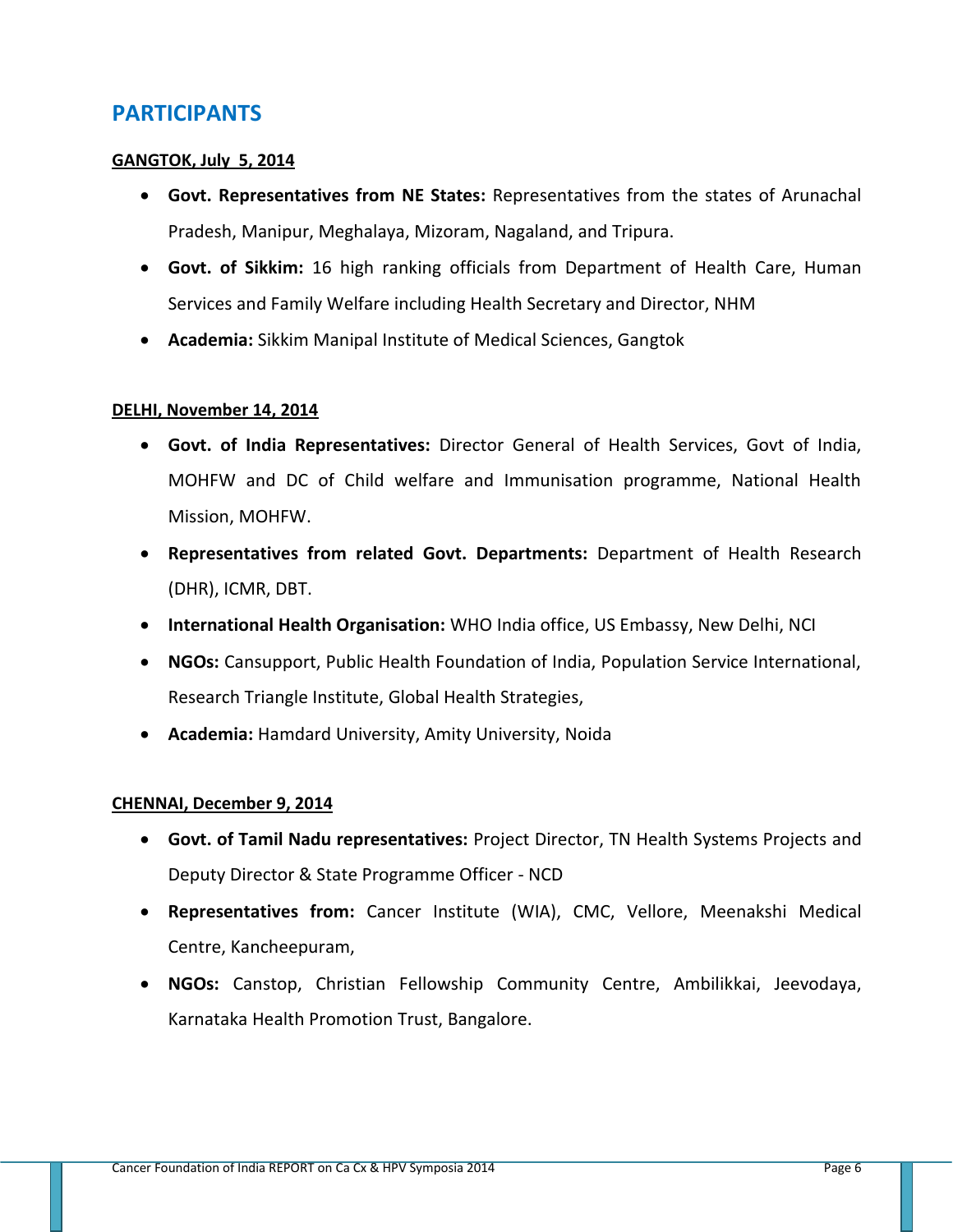### **PARTICIPANTS**

### **GANGTOK, July 5, 2014**

- **Govt. Representatives from NE States:** Representatives from the states of Arunachal Pradesh, Manipur, Meghalaya, Mizoram, Nagaland, and Tripura.
- **Govt. of Sikkim:** 16 high ranking officials from Department of Health Care, Human Services and Family Welfare including Health Secretary and Director, NHM
- **Academia:** Sikkim Manipal Institute of Medical Sciences, Gangtok

### **DELHI, November 14, 2014**

- **Govt. of India Representatives:** Director General of Health Services, Govt of India, MOHFW and DC of Child welfare and Immunisation programme, National Health Mission, MOHFW.
- **Representatives from related Govt. Departments:** Department of Health Research (DHR), ICMR, DBT.
- **International Health Organisation:** WHO India office, US Embassy, New Delhi, NCI
- **NGOs:** Cansupport, Public Health Foundation of India, Population Service International, Research Triangle Institute, Global Health Strategies,
- **Academia:** Hamdard University, Amity University, Noida

### **CHENNAI, December 9, 2014**

- **Govt. of Tamil Nadu representatives:** Project Director, TN Health Systems Projects and Deputy Director & State Programme Officer - NCD
- **Representatives from:** Cancer Institute (WIA), CMC, Vellore, Meenakshi Medical Centre, Kancheepuram,
- **NGOs:** Canstop, Christian Fellowship Community Centre, Ambilikkai, Jeevodaya, Karnataka Health Promotion Trust, Bangalore.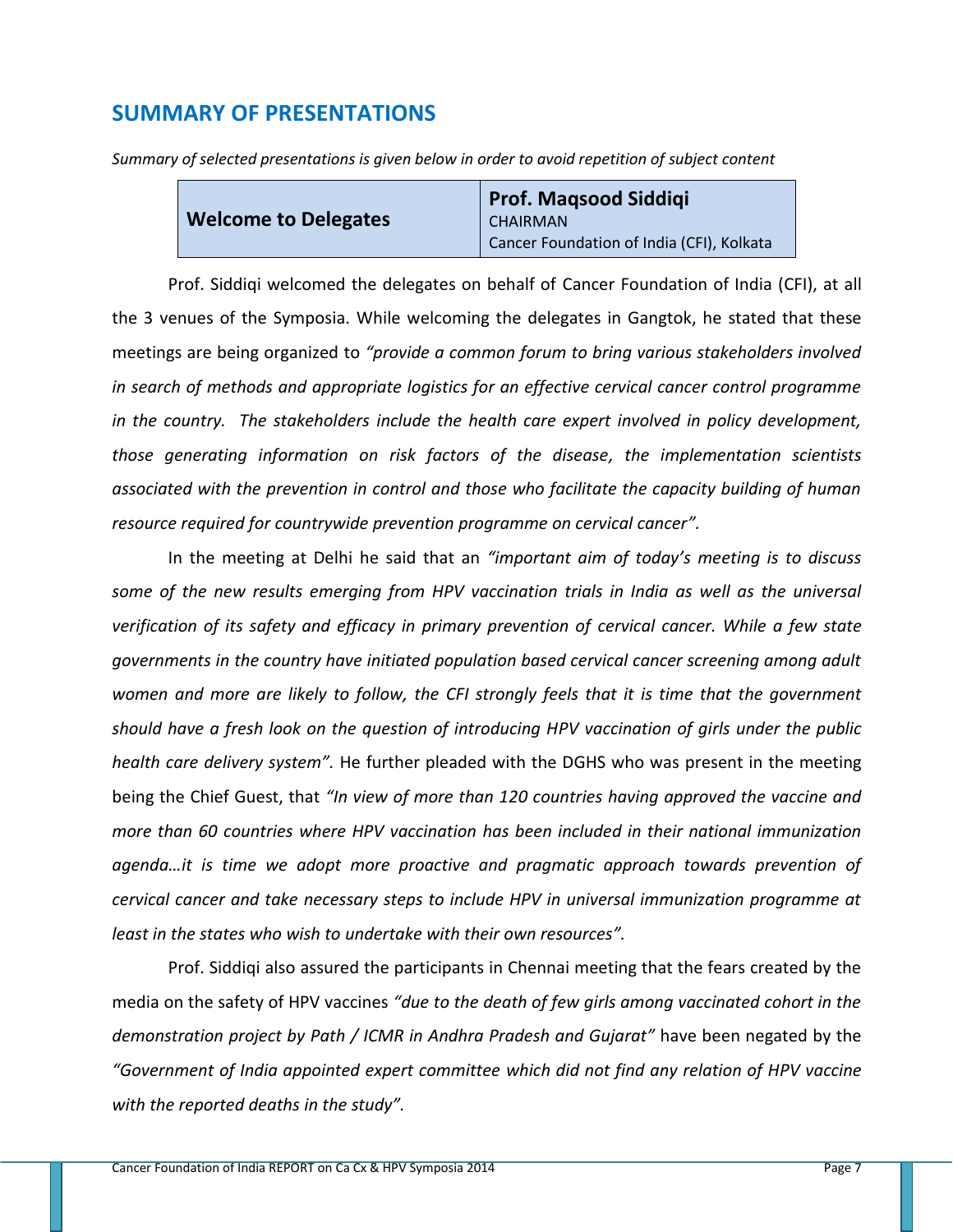### **SUMMARY OF PRESENTATIONS**

*Summary of selected presentations is given below in order to avoid repetition of subject content*

|                             | <b>Prof. Magsood Siddigi</b>              |
|-----------------------------|-------------------------------------------|
| <b>Welcome to Delegates</b> | <b>CHAIRMAN</b>                           |
|                             | Cancer Foundation of India (CFI), Kolkata |

Prof. Siddiqi welcomed the delegates on behalf of Cancer Foundation of India (CFI), at all the 3 venues of the Symposia. While welcoming the delegates in Gangtok, he stated that these meetings are being organized to *"provide a common forum to bring various stakeholders involved in search of methods and appropriate logistics for an effective cervical cancer control programme in the country. The stakeholders include the health care expert involved in policy development, those generating information on risk factors of the disease, the implementation scientists associated with the prevention in control and those who facilitate the capacity building of human resource required for countrywide prevention programme on cervical cancer".*

In the meeting at Delhi he said that an *"important aim of today's meeting is to discuss some of the new results emerging from HPV vaccination trials in India as well as the universal verification of its safety and efficacy in primary prevention of cervical cancer. While a few state governments in the country have initiated population based cervical cancer screening among adult women and more are likely to follow, the CFI strongly feels that it is time that the government should have a fresh look on the question of introducing HPV vaccination of girls under the public health care delivery system".* He further pleaded with the DGHS who was present in the meeting being the Chief Guest, that *"In view of more than 120 countries having approved the vaccine and more than 60 countries where HPV vaccination has been included in their national immunization agenda…it is time we adopt more proactive and pragmatic approach towards prevention of cervical cancer and take necessary steps to include HPV in universal immunization programme at least in the states who wish to undertake with their own resources".*

Prof. Siddiqi also assured the participants in Chennai meeting that the fears created by the media on the safety of HPV vaccines *"due to the death of few girls among vaccinated cohort in the demonstration project by Path / ICMR in Andhra Pradesh and Gujarat"* have been negated by the *"Government of India appointed expert committee which did not find any relation of HPV vaccine with the reported deaths in the study".*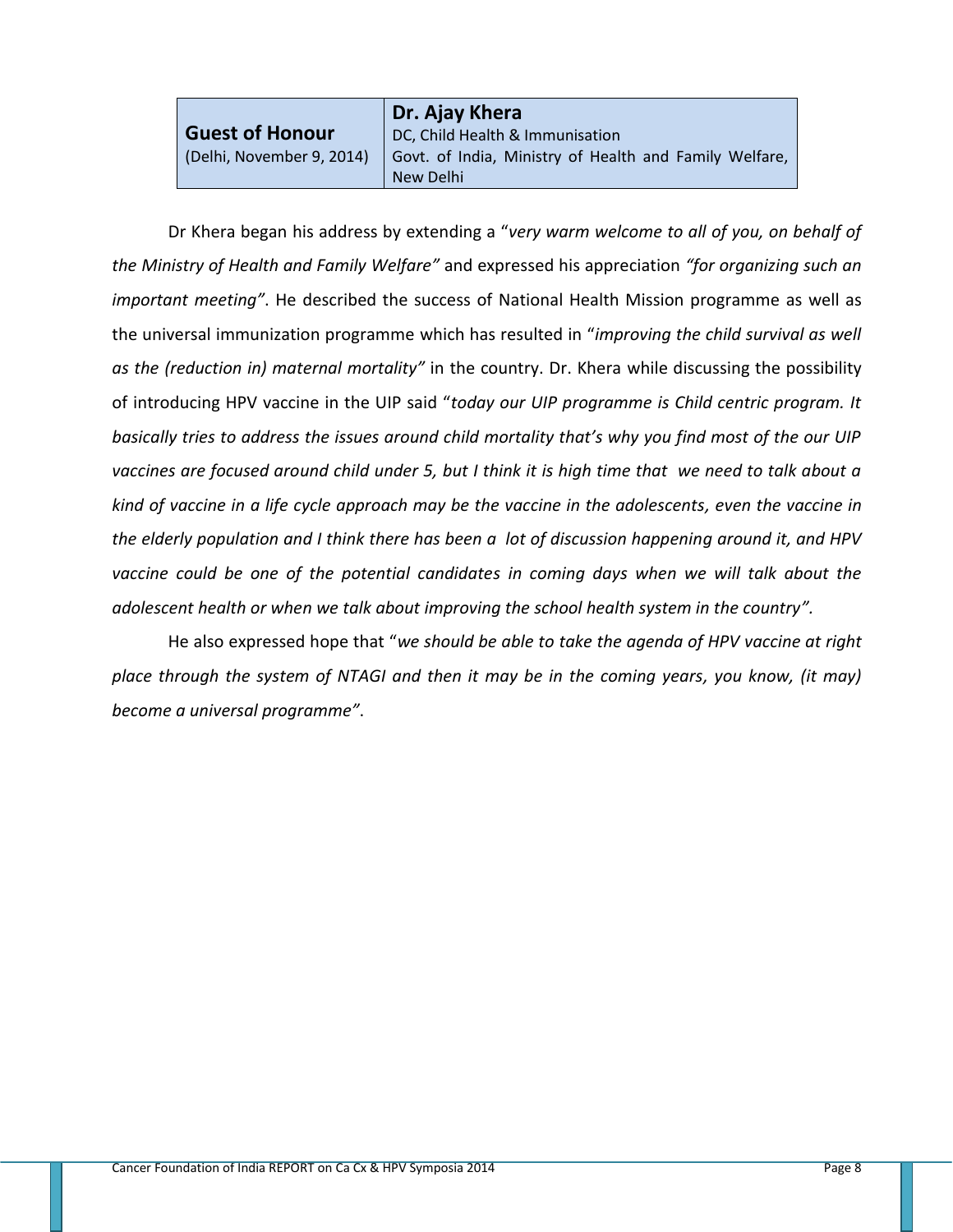|                           | Dr. Ajay Khera                                                      |
|---------------------------|---------------------------------------------------------------------|
| <b>Guest of Honour</b>    | DC, Child Health & Immunisation                                     |
| (Delhi, November 9, 2014) | Govt. of India, Ministry of Health and Family Welfare,<br>New Delhi |

Dr Khera began his address by extending a "*very warm welcome to all of you, on behalf of the Ministry of Health and Family Welfare"* and expressed his appreciation *"for organizing such an important meeting"*. He described the success of National Health Mission programme as well as the universal immunization programme which has resulted in "*improving the child survival as well as the (reduction in) maternal mortality"* in the country. Dr. Khera while discussing the possibility of introducing HPV vaccine in the UIP said "*today our UIP programme is Child centric program. It basically tries to address the issues around child mortality that's why you find most of the our UIP vaccines are focused around child under 5, but I think it is high time that we need to talk about a kind of vaccine in a life cycle approach may be the vaccine in the adolescents, even the vaccine in the elderly population and I think there has been a lot of discussion happening around it, and HPV vaccine could be one of the potential candidates in coming days when we will talk about the adolescent health or when we talk about improving the school health system in the country".* 

He also expressed hope that "*we should be able to take the agenda of HPV vaccine at right place through the system of NTAGI and then it may be in the coming years, you know, (it may) become a universal programme"*.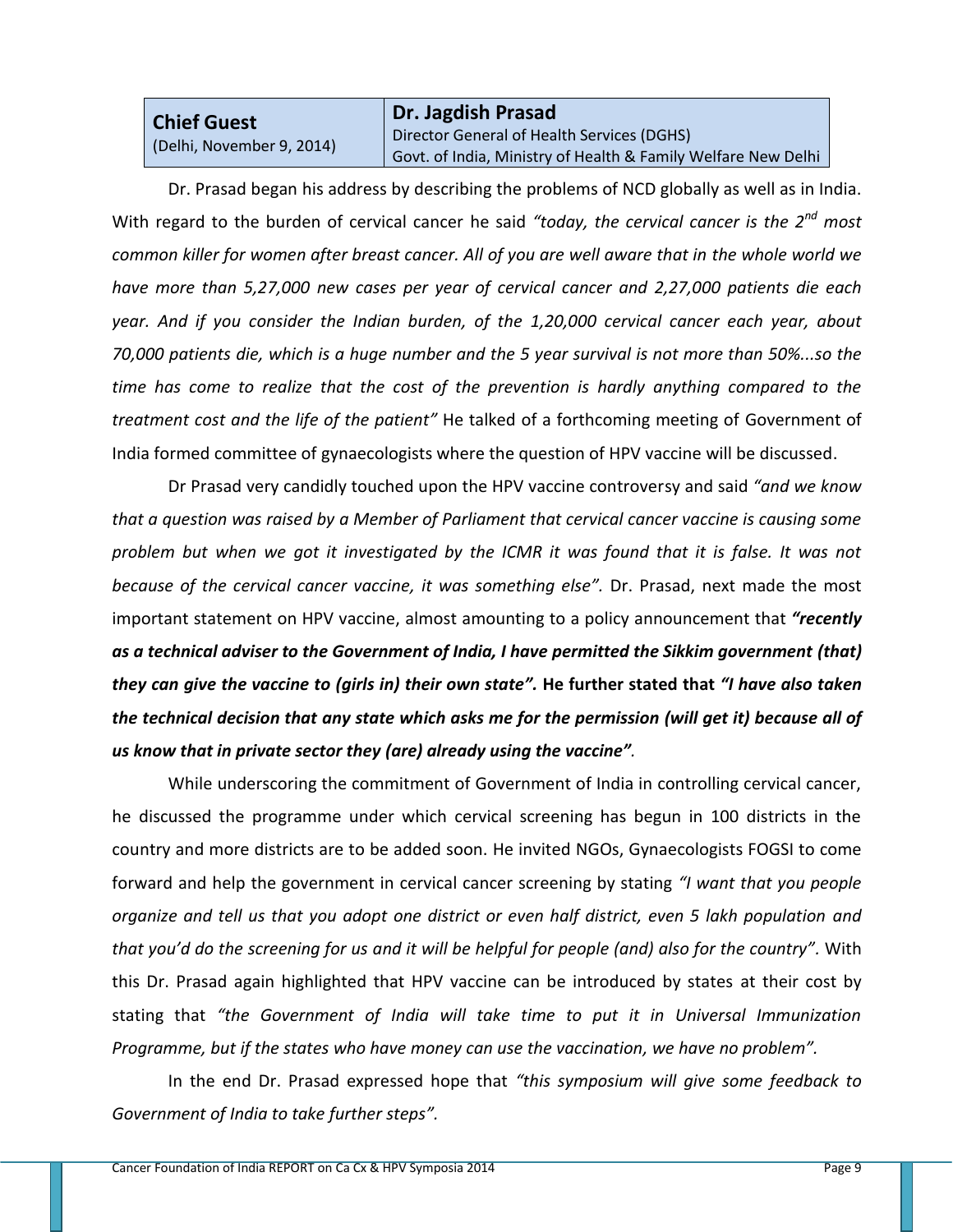### **Chief Guest**  (Delhi, November 9, 2014)

**Dr. Jagdish Prasad** Director General of Health Services (DGHS) Govt. of India, Ministry of Health & Family Welfare New Delhi

Dr. Prasad began his address by describing the problems of NCD globally as well as in India. With regard to the burden of cervical cancer he said *"today, the cervical cancer is the 2nd most common killer for women after breast cancer. All of you are well aware that in the whole world we have more than 5,27,000 new cases per year of cervical cancer and 2,27,000 patients die each year. And if you consider the Indian burden, of the 1,20,000 cervical cancer each year, about 70,000 patients die, which is a huge number and the 5 year survival is not more than 50%...so the time has come to realize that the cost of the prevention is hardly anything compared to the treatment cost and the life of the patient"* He talked of a forthcoming meeting of Government of India formed committee of gynaecologists where the question of HPV vaccine will be discussed.

Dr Prasad very candidly touched upon the HPV vaccine controversy and said *"and we know that a question was raised by a Member of Parliament that cervical cancer vaccine is causing some problem but when we got it investigated by the ICMR it was found that it is false. It was not because of the cervical cancer vaccine, it was something else".* Dr. Prasad, next made the most important statement on HPV vaccine, almost amounting to a policy announcement that *"recently as a technical adviser to the Government of India, I have permitted the Sikkim government (that) they can give the vaccine to (girls in) their own state".* **He further stated that** *"I have also taken the technical decision that any state which asks me for the permission (will get it) because all of us know that in private sector they (are) already using the vaccine".*

While underscoring the commitment of Government of India in controlling cervical cancer, he discussed the programme under which cervical screening has begun in 100 districts in the country and more districts are to be added soon. He invited NGOs, Gynaecologists FOGSI to come forward and help the government in cervical cancer screening by stating *"I want that you people organize and tell us that you adopt one district or even half district, even 5 lakh population and that you'd do the screening for us and it will be helpful for people (and) also for the country".* With this Dr. Prasad again highlighted that HPV vaccine can be introduced by states at their cost by stating that *"the Government of India will take time to put it in Universal Immunization Programme, but if the states who have money can use the vaccination, we have no problem".* 

In the end Dr. Prasad expressed hope that *"this symposium will give some feedback to Government of India to take further steps".*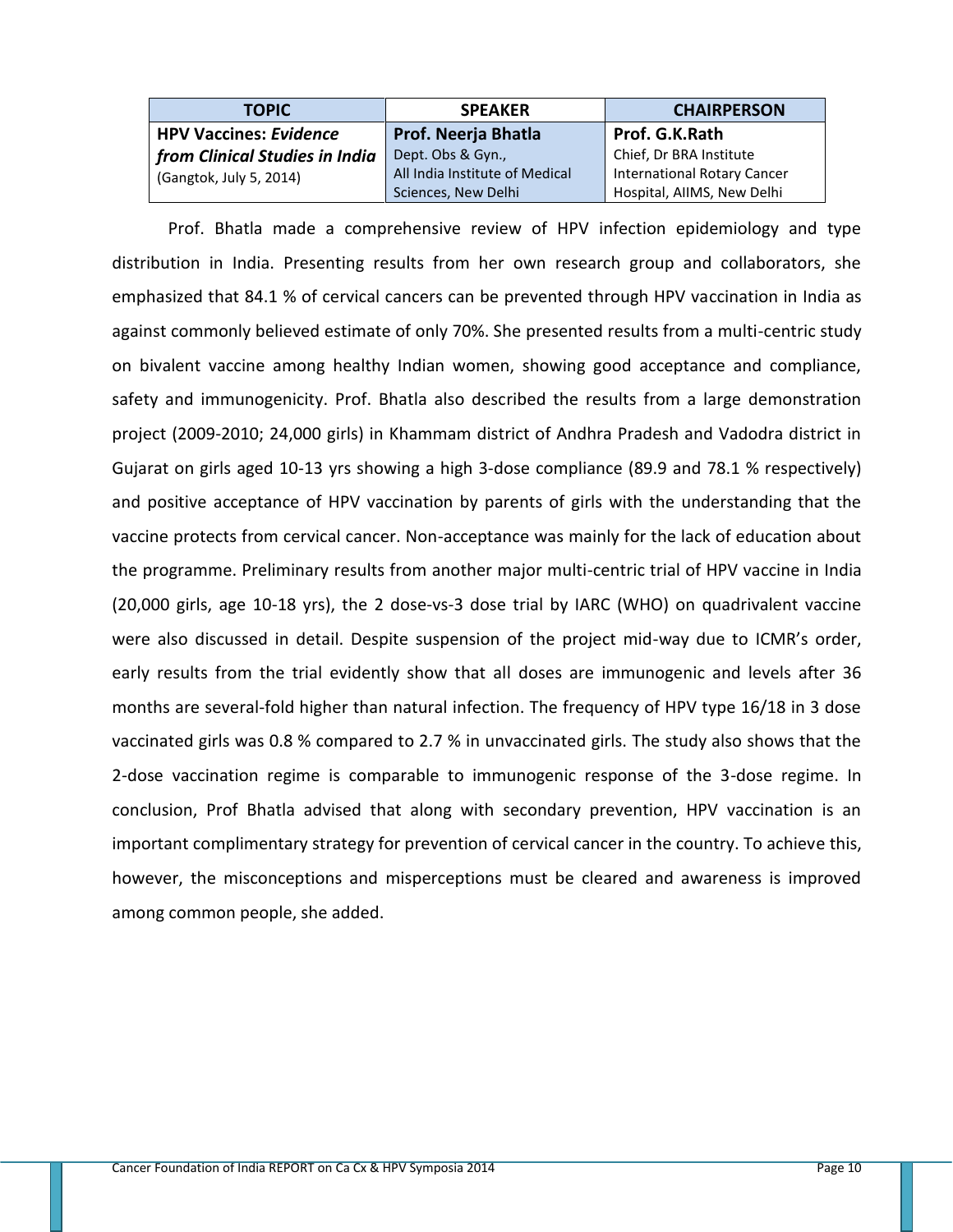| <b>TOPIC</b>                   | <b>SPEAKER</b>                 | <b>CHAIRPERSON</b>                 |
|--------------------------------|--------------------------------|------------------------------------|
| <b>HPV Vaccines: Evidence</b>  | <b>Prof. Neerja Bhatla</b>     | Prof. G.K.Rath                     |
| from Clinical Studies in India | Dept. Obs & Gyn.,              | Chief, Dr BRA Institute            |
| (Gangtok, July 5, 2014)        | All India Institute of Medical | <b>International Rotary Cancer</b> |
|                                | Sciences, New Delhi            | Hospital, AIIMS, New Delhi         |

Prof. Bhatla made a comprehensive review of HPV infection epidemiology and type distribution in India. Presenting results from her own research group and collaborators, she emphasized that 84.1 % of cervical cancers can be prevented through HPV vaccination in India as against commonly believed estimate of only 70%. She presented results from a multi-centric study on bivalent vaccine among healthy Indian women, showing good acceptance and compliance, safety and immunogenicity. Prof. Bhatla also described the results from a large demonstration project (2009-2010; 24,000 girls) in Khammam district of Andhra Pradesh and Vadodra district in Gujarat on girls aged 10-13 yrs showing a high 3-dose compliance (89.9 and 78.1 % respectively) and positive acceptance of HPV vaccination by parents of girls with the understanding that the vaccine protects from cervical cancer. Non-acceptance was mainly for the lack of education about the programme. Preliminary results from another major multi-centric trial of HPV vaccine in India (20,000 girls, age 10-18 yrs), the 2 dose-vs-3 dose trial by IARC (WHO) on quadrivalent vaccine were also discussed in detail. Despite suspension of the project mid-way due to ICMR's order, early results from the trial evidently show that all doses are immunogenic and levels after 36 months are several-fold higher than natural infection. The frequency of HPV type 16/18 in 3 dose vaccinated girls was 0.8 % compared to 2.7 % in unvaccinated girls. The study also shows that the 2-dose vaccination regime is comparable to immunogenic response of the 3-dose regime. In conclusion, Prof Bhatla advised that along with secondary prevention, HPV vaccination is an important complimentary strategy for prevention of cervical cancer in the country. To achieve this, however, the misconceptions and misperceptions must be cleared and awareness is improved among common people, she added.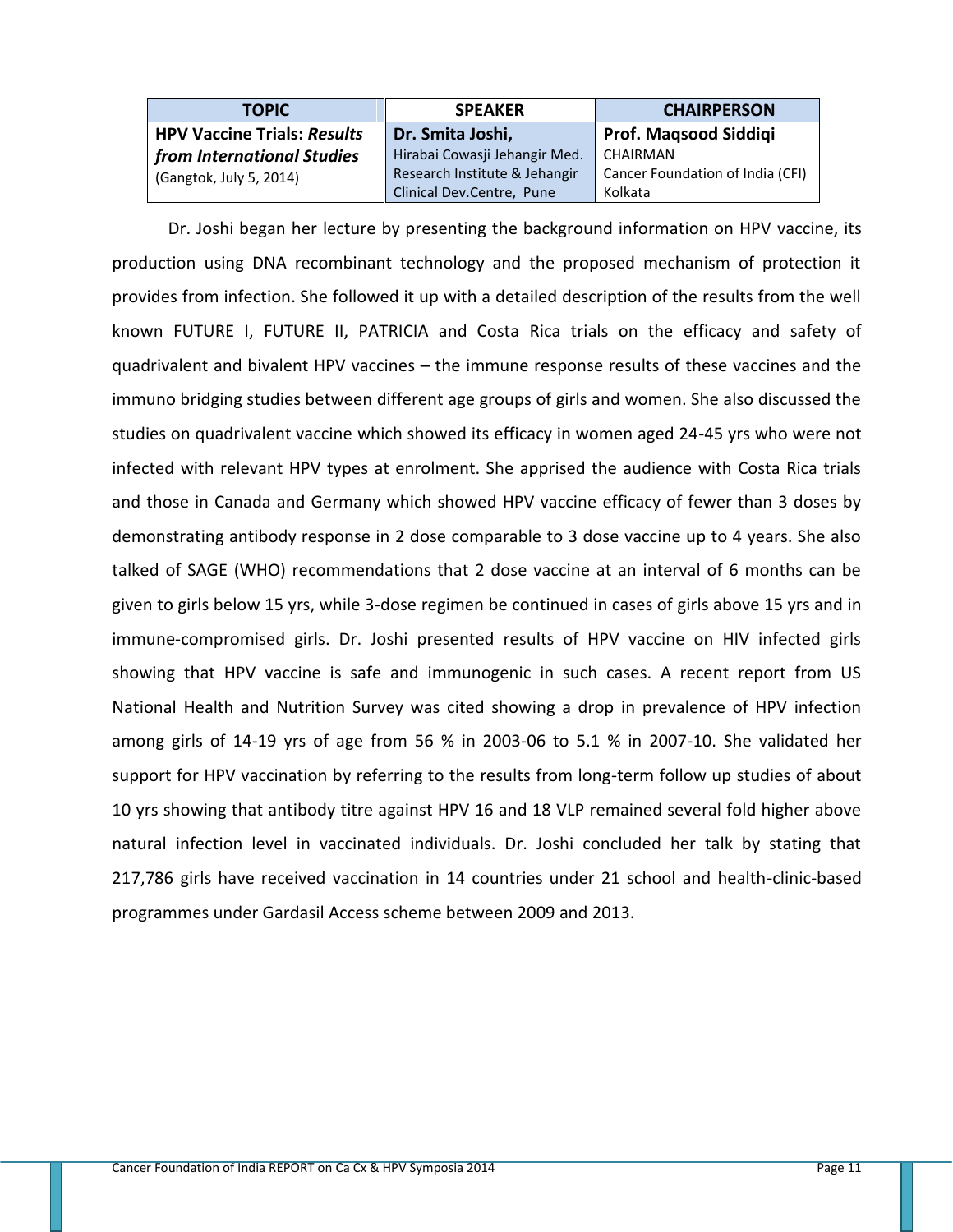| <b>TOPIC</b>                       | <b>SPEAKER</b>                | <b>CHAIRPERSON</b>               |
|------------------------------------|-------------------------------|----------------------------------|
| <b>HPV Vaccine Trials: Results</b> | Dr. Smita Joshi,              | Prof. Magsood Siddigi            |
| from International Studies         | Hirabai Cowasji Jehangir Med. | CHAIRMAN                         |
| (Gangtok, July 5, 2014)            | Research Institute & Jehangir | Cancer Foundation of India (CFI) |
|                                    | Clinical Dev.Centre, Pune     | Kolkata                          |

Dr. Joshi began her lecture by presenting the background information on HPV vaccine, its production using DNA recombinant technology and the proposed mechanism of protection it provides from infection. She followed it up with a detailed description of the results from the well known FUTURE I, FUTURE II, PATRICIA and Costa Rica trials on the efficacy and safety of quadrivalent and bivalent HPV vaccines – the immune response results of these vaccines and the immuno bridging studies between different age groups of girls and women. She also discussed the studies on quadrivalent vaccine which showed its efficacy in women aged 24-45 yrs who were not infected with relevant HPV types at enrolment. She apprised the audience with Costa Rica trials and those in Canada and Germany which showed HPV vaccine efficacy of fewer than 3 doses by demonstrating antibody response in 2 dose comparable to 3 dose vaccine up to 4 years. She also talked of SAGE (WHO) recommendations that 2 dose vaccine at an interval of 6 months can be given to girls below 15 yrs, while 3-dose regimen be continued in cases of girls above 15 yrs and in immune-compromised girls. Dr. Joshi presented results of HPV vaccine on HIV infected girls showing that HPV vaccine is safe and immunogenic in such cases. A recent report from US National Health and Nutrition Survey was cited showing a drop in prevalence of HPV infection among girls of 14-19 yrs of age from 56 % in 2003-06 to 5.1 % in 2007-10. She validated her support for HPV vaccination by referring to the results from long-term follow up studies of about 10 yrs showing that antibody titre against HPV 16 and 18 VLP remained several fold higher above natural infection level in vaccinated individuals. Dr. Joshi concluded her talk by stating that 217,786 girls have received vaccination in 14 countries under 21 school and health-clinic-based programmes under Gardasil Access scheme between 2009 and 2013.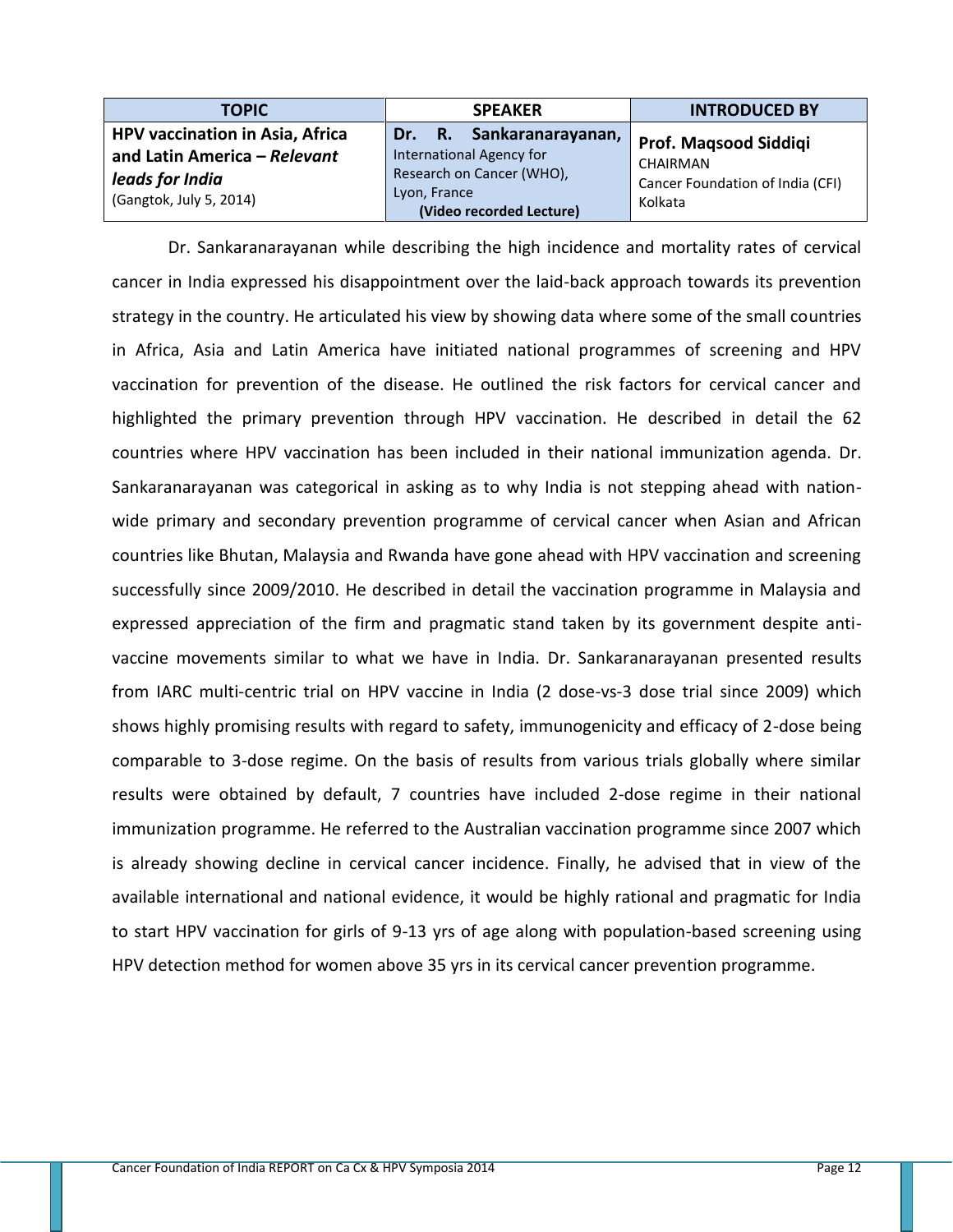| <b>TOPIC</b>                                                               | <b>SPEAKER</b>                                                                                    | <b>INTRODUCED BY</b>                                    |
|----------------------------------------------------------------------------|---------------------------------------------------------------------------------------------------|---------------------------------------------------------|
| HPV vaccination in Asia, Africa                                            | Dr. R. Sankaranarayanan,                                                                          | Prof. Maqsood Siddiqi                                   |
| and Latin America - Relevant<br>leads for India<br>(Gangtok, July 5, 2014) | International Agency for<br>Research on Cancer (WHO),<br>Lyon, France<br>(Video recorded Lecture) | CHAIRMAN<br>Cancer Foundation of India (CFI)<br>Kolkata |

Dr. Sankaranarayanan while describing the high incidence and mortality rates of cervical cancer in India expressed his disappointment over the laid-back approach towards its prevention strategy in the country. He articulated his view by showing data where some of the small countries in Africa, Asia and Latin America have initiated national programmes of screening and HPV vaccination for prevention of the disease. He outlined the risk factors for cervical cancer and highlighted the primary prevention through HPV vaccination. He described in detail the 62 countries where HPV vaccination has been included in their national immunization agenda. Dr. Sankaranarayanan was categorical in asking as to why India is not stepping ahead with nationwide primary and secondary prevention programme of cervical cancer when Asian and African countries like Bhutan, Malaysia and Rwanda have gone ahead with HPV vaccination and screening successfully since 2009/2010. He described in detail the vaccination programme in Malaysia and expressed appreciation of the firm and pragmatic stand taken by its government despite antivaccine movements similar to what we have in India. Dr. Sankaranarayanan presented results from IARC multi-centric trial on HPV vaccine in India (2 dose-vs-3 dose trial since 2009) which shows highly promising results with regard to safety, immunogenicity and efficacy of 2-dose being comparable to 3-dose regime. On the basis of results from various trials globally where similar results were obtained by default, 7 countries have included 2-dose regime in their national immunization programme. He referred to the Australian vaccination programme since 2007 which is already showing decline in cervical cancer incidence. Finally, he advised that in view of the available international and national evidence, it would be highly rational and pragmatic for India to start HPV vaccination for girls of 9-13 yrs of age along with population-based screening using HPV detection method for women above 35 yrs in its cervical cancer prevention programme.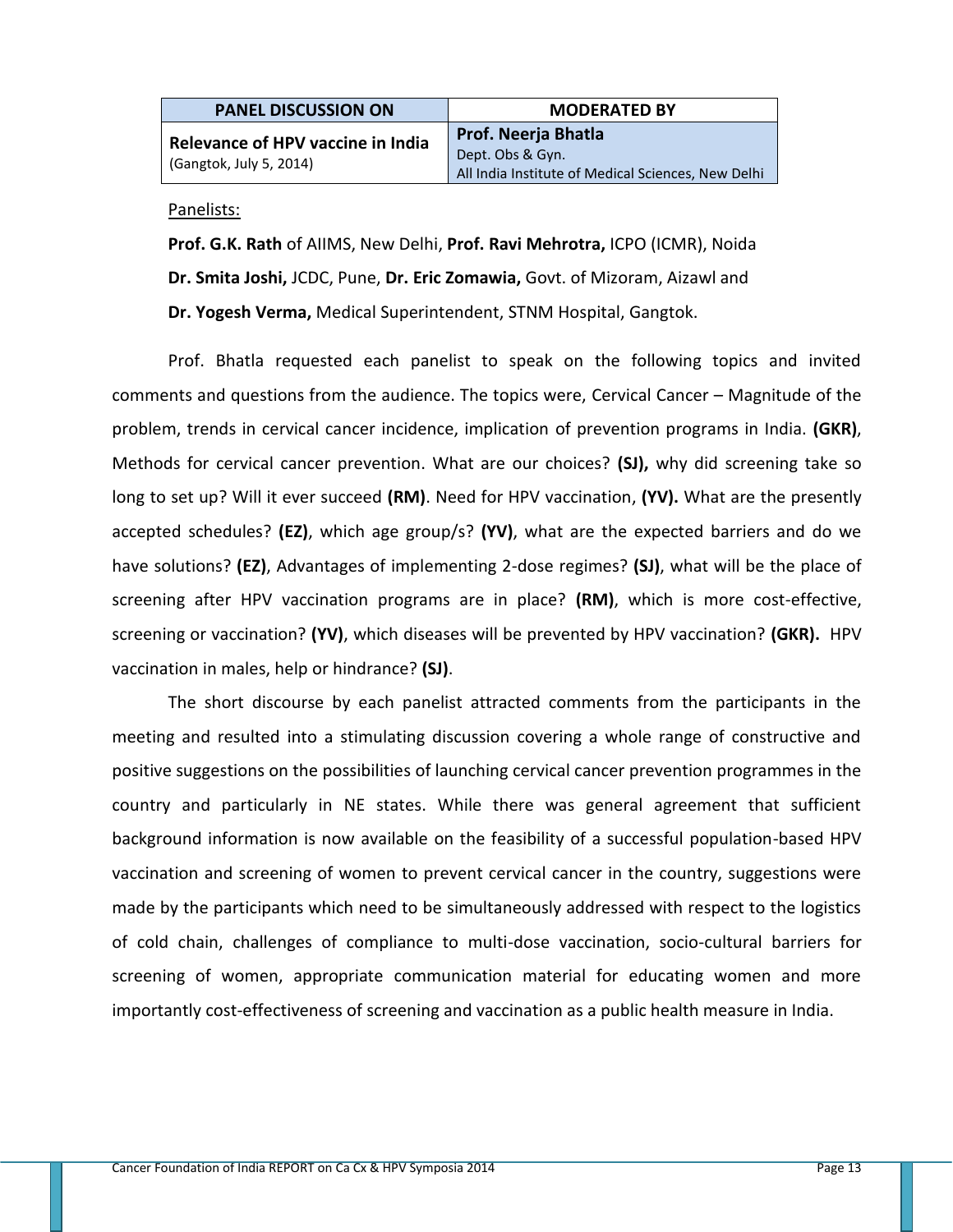| <b>PANEL DISCUSSION ON</b>                                   | <b>MODERATED BY</b>                                                                                  |
|--------------------------------------------------------------|------------------------------------------------------------------------------------------------------|
| Relevance of HPV vaccine in India<br>(Gangtok, July 5, 2014) | <b>Prof. Neerja Bhatla</b><br>Dept. Obs & Gyn.<br>All India Institute of Medical Sciences, New Delhi |

#### Panelists:

**Prof. G.K. Rath** of AIIMS, New Delhi, **Prof. Ravi Mehrotra,** ICPO (ICMR), Noida **Dr. Smita Joshi,** JCDC, Pune, **Dr. Eric Zomawia,** Govt. of Mizoram, Aizawl and **Dr. Yogesh Verma,** Medical Superintendent, STNM Hospital, Gangtok.

Prof. Bhatla requested each panelist to speak on the following topics and invited comments and questions from the audience. The topics were, Cervical Cancer – Magnitude of the problem, trends in cervical cancer incidence, implication of prevention programs in India. **(GKR)**, Methods for cervical cancer prevention. What are our choices? **(SJ),** why did screening take so long to set up? Will it ever succeed **(RM)**. Need for HPV vaccination, **(YV).** What are the presently accepted schedules? **(EZ)**, which age group/s? **(YV)**, what are the expected barriers and do we have solutions? **(EZ)**, Advantages of implementing 2-dose regimes? **(SJ)**, what will be the place of screening after HPV vaccination programs are in place? **(RM)**, which is more cost-effective, screening or vaccination? **(YV)**, which diseases will be prevented by HPV vaccination? **(GKR).** HPV vaccination in males, help or hindrance? **(SJ)**.

The short discourse by each panelist attracted comments from the participants in the meeting and resulted into a stimulating discussion covering a whole range of constructive and positive suggestions on the possibilities of launching cervical cancer prevention programmes in the country and particularly in NE states. While there was general agreement that sufficient background information is now available on the feasibility of a successful population-based HPV vaccination and screening of women to prevent cervical cancer in the country, suggestions were made by the participants which need to be simultaneously addressed with respect to the logistics of cold chain, challenges of compliance to multi-dose vaccination, socio-cultural barriers for screening of women, appropriate communication material for educating women and more importantly cost-effectiveness of screening and vaccination as a public health measure in India.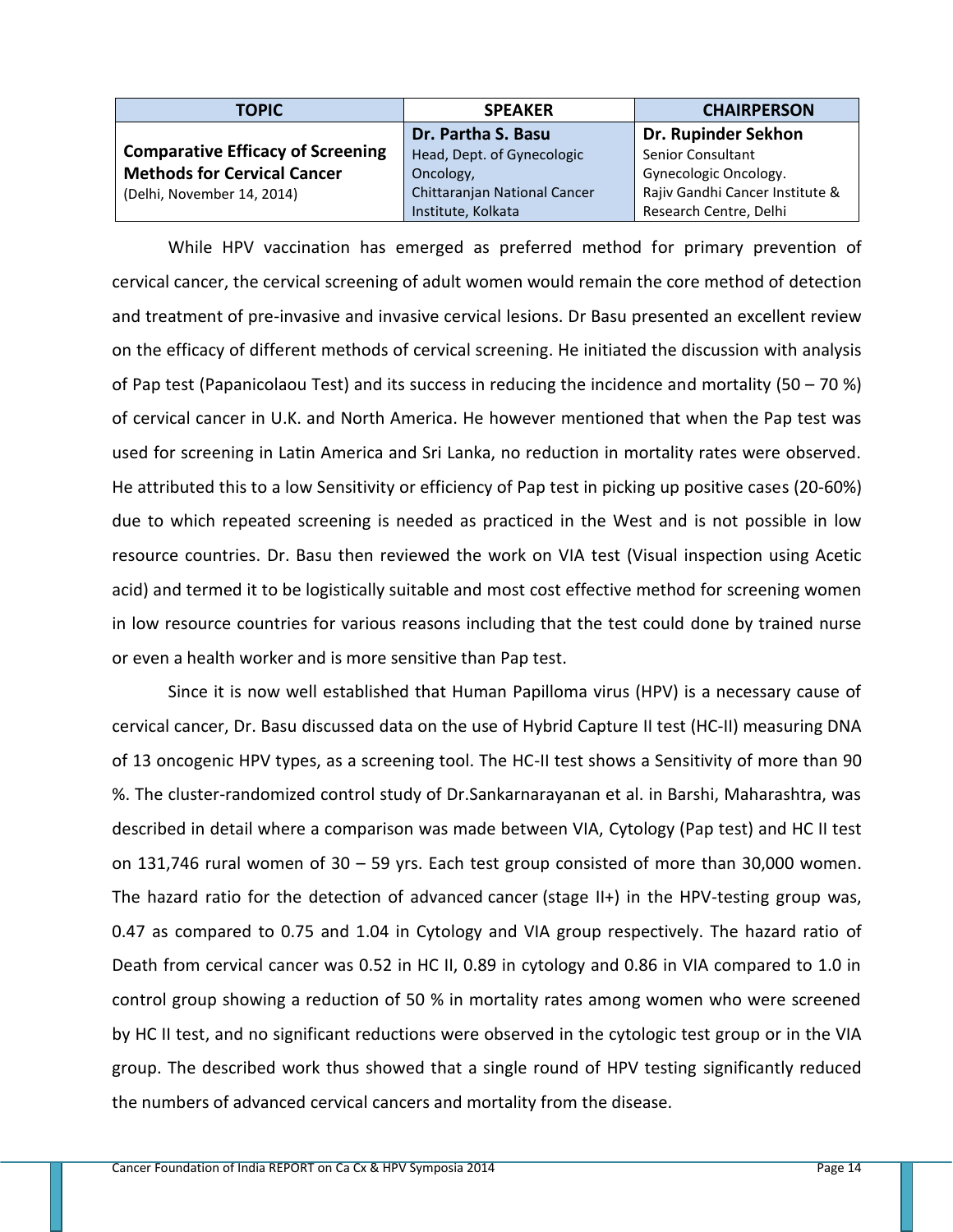| <b>TOPIC</b>                             | <b>SPEAKER</b>               | <b>CHAIRPERSON</b>              |
|------------------------------------------|------------------------------|---------------------------------|
|                                          | Dr. Partha S. Basu           | Dr. Rupinder Sekhon             |
| <b>Comparative Efficacy of Screening</b> | Head, Dept. of Gynecologic   | <b>Senior Consultant</b>        |
| <b>Methods for Cervical Cancer</b>       | Oncology,                    | Gynecologic Oncology.           |
| (Delhi, November 14, 2014)               | Chittaranjan National Cancer | Rajiv Gandhi Cancer Institute & |
|                                          | Institute, Kolkata           | Research Centre, Delhi          |

While HPV vaccination has emerged as preferred method for primary prevention of cervical cancer, the cervical screening of adult women would remain the core method of detection and treatment of pre-invasive and invasive cervical lesions. Dr Basu presented an excellent review on the efficacy of different methods of cervical screening. He initiated the discussion with analysis of Pap test (Papanicolaou Test) and its success in reducing the incidence and mortality (50 – 70 %) of cervical cancer in U.K. and North America. He however mentioned that when the Pap test was used for screening in Latin America and Sri Lanka, no reduction in mortality rates were observed. He attributed this to a low Sensitivity or efficiency of Pap test in picking up positive cases (20-60%) due to which repeated screening is needed as practiced in the West and is not possible in low resource countries. Dr. Basu then reviewed the work on VIA test (Visual inspection using Acetic acid) and termed it to be logistically suitable and most cost effective method for screening women in low resource countries for various reasons including that the test could done by trained nurse or even a health worker and is more sensitive than Pap test.

Since it is now well established that Human Papilloma virus (HPV) is a necessary cause of cervical cancer, Dr. Basu discussed data on the use of Hybrid Capture II test (HC-II) measuring DNA of 13 oncogenic HPV types, as a screening tool. The HC-II test shows a Sensitivity of more than 90 %. The cluster-randomized control study of Dr.Sankarnarayanan et al. in Barshi, Maharashtra, was described in detail where a comparison was made between VIA, Cytology (Pap test) and HC II test on 131,746 rural women of 30 – 59 yrs. Each test group consisted of more than 30,000 women. The hazard ratio for the detection of advanced cancer (stage II+) in the HPV-testing group was, 0.47 as compared to 0.75 and 1.04 in Cytology and VIA group respectively. The hazard ratio of Death from cervical cancer was 0.52 in HC II, 0.89 in cytology and 0.86 in VIA compared to 1.0 in control group showing a reduction of 50 % in mortality rates among women who were screened by HC II test, and no significant reductions were observed in the cytologic test group or in the VIA group. The described work thus showed that a single round of HPV testing significantly reduced the numbers of advanced cervical cancers and mortality from the disease.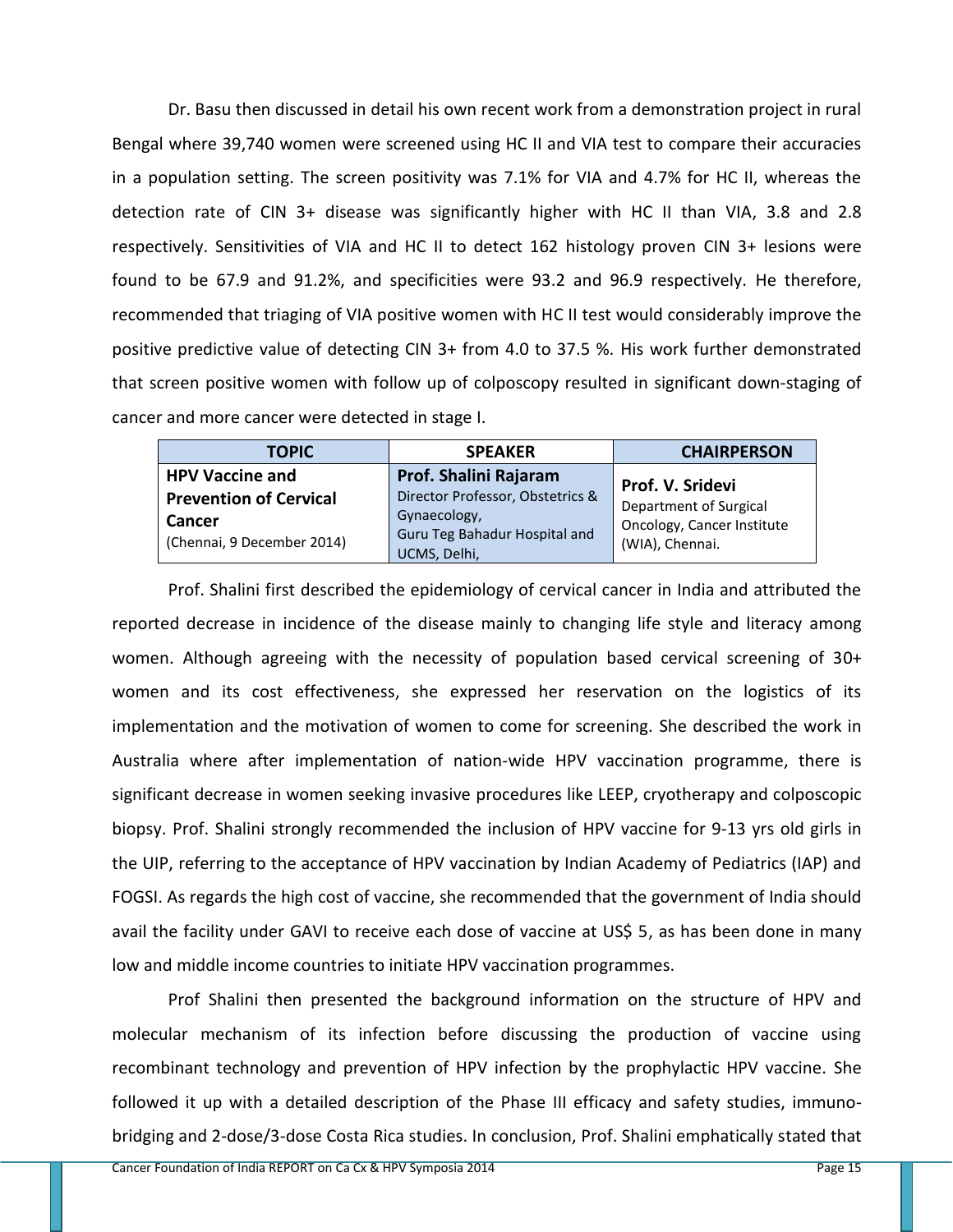Dr. Basu then discussed in detail his own recent work from a demonstration project in rural Bengal where 39,740 women were screened using HC II and VIA test to compare their accuracies in a population setting. The screen positivity was 7.1% for VIA and 4.7% for HC II, whereas the detection rate of CIN 3+ disease was significantly higher with HC II than VIA, 3.8 and 2.8 respectively. Sensitivities of VIA and HC II to detect 162 histology proven CIN 3+ lesions were found to be 67.9 and 91.2%, and specificities were 93.2 and 96.9 respectively. He therefore, recommended that triaging of VIA positive women with HC II test would considerably improve the positive predictive value of detecting CIN 3+ from 4.0 to 37.5 %. His work further demonstrated that screen positive women with follow up of colposcopy resulted in significant down-staging of cancer and more cancer were detected in stage I.

| <b>TOPIC</b>                                                          | <b>SPEAKER</b>                                                                                    | <b>CHAIRPERSON</b>                                                      |
|-----------------------------------------------------------------------|---------------------------------------------------------------------------------------------------|-------------------------------------------------------------------------|
| <b>HPV Vaccine and</b>                                                | Prof. Shalini Rajaram                                                                             | <b>Prof. V. Sridevi</b>                                                 |
| <b>Prevention of Cervical</b><br>Cancer<br>(Chennai, 9 December 2014) | Director Professor, Obstetrics &<br>Gynaecology,<br>Guru Teg Bahadur Hospital and<br>UCMS, Delhi, | Department of Surgical<br>Oncology, Cancer Institute<br>(WIA), Chennai. |

Prof. Shalini first described the epidemiology of cervical cancer in India and attributed the reported decrease in incidence of the disease mainly to changing life style and literacy among women. Although agreeing with the necessity of population based cervical screening of 30+ women and its cost effectiveness, she expressed her reservation on the logistics of its implementation and the motivation of women to come for screening. She described the work in Australia where after implementation of nation-wide HPV vaccination programme, there is significant decrease in women seeking invasive procedures like LEEP, cryotherapy and colposcopic biopsy. Prof. Shalini strongly recommended the inclusion of HPV vaccine for 9-13 yrs old girls in the UIP, referring to the acceptance of HPV vaccination by Indian Academy of Pediatrics (IAP) and FOGSI. As regards the high cost of vaccine, she recommended that the government of India should avail the facility under GAVI to receive each dose of vaccine at US\$ 5, as has been done in many low and middle income countries to initiate HPV vaccination programmes.

Prof Shalini then presented the background information on the structure of HPV and molecular mechanism of its infection before discussing the production of vaccine using recombinant technology and prevention of HPV infection by the prophylactic HPV vaccine. She followed it up with a detailed description of the Phase III efficacy and safety studies, immunobridging and 2-dose/3-dose Costa Rica studies. In conclusion, Prof. Shalini emphatically stated that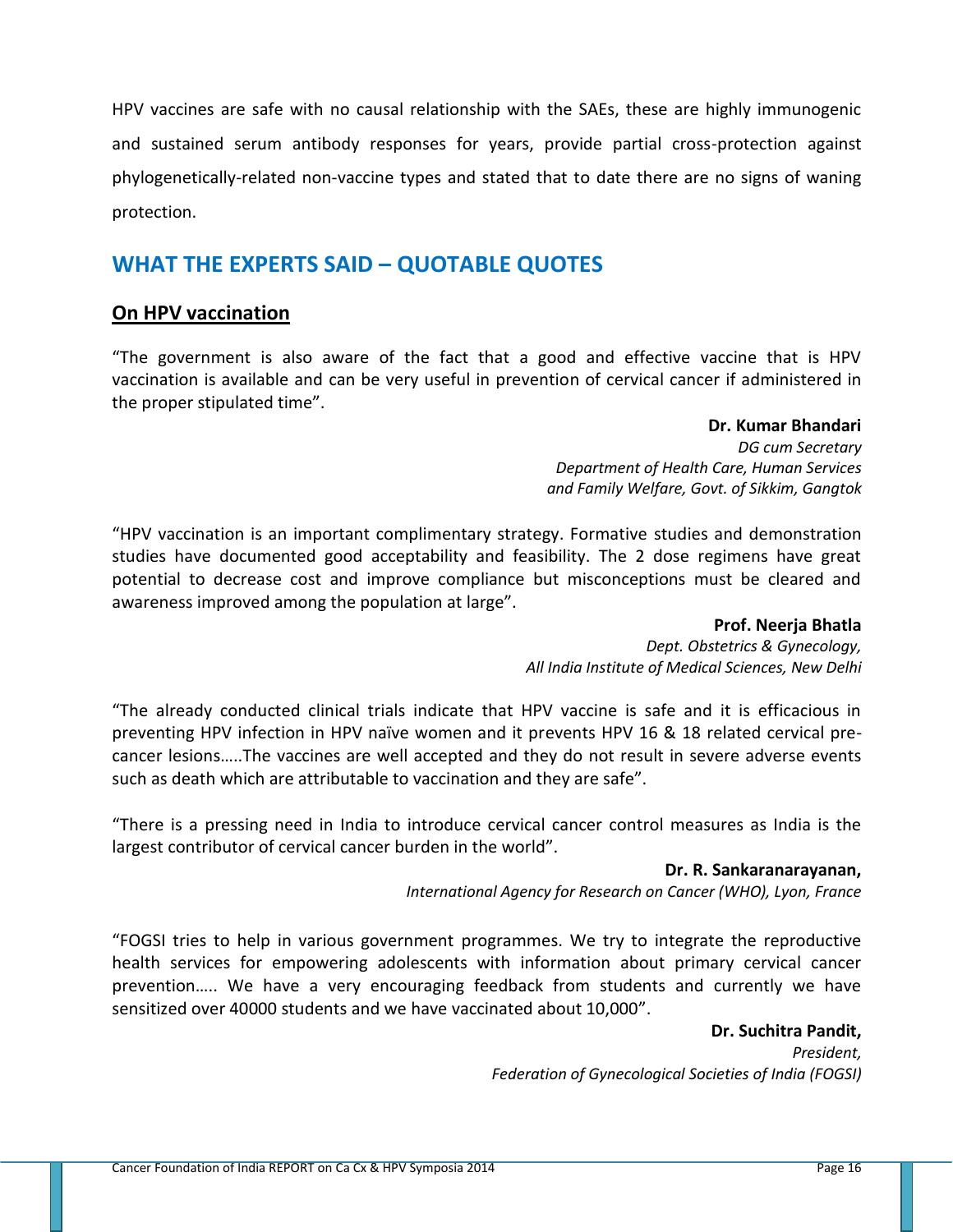HPV vaccines are safe with no causal relationship with the SAEs, these are highly immunogenic and sustained serum antibody responses for years, provide partial cross-protection against phylogenetically-related non-vaccine types and stated that to date there are no signs of waning protection.

## **WHAT THE EXPERTS SAID – QUOTABLE QUOTES**

### **On HPV vaccination**

"The government is also aware of the fact that a good and effective vaccine that is HPV vaccination is available and can be very useful in prevention of cervical cancer if administered in the proper stipulated time".

### **Dr. Kumar Bhandari**

*DG cum Secretary Department of Health Care, Human Services and Family Welfare, Govt. of Sikkim, Gangtok*

"HPV vaccination is an important complimentary strategy. Formative studies and demonstration studies have documented good acceptability and feasibility. The 2 dose regimens have great potential to decrease cost and improve compliance but misconceptions must be cleared and awareness improved among the population at large".

### **Prof. Neerja Bhatla**

*Dept. Obstetrics & Gynecology, All India Institute of Medical Sciences, New Delhi*

"The already conducted clinical trials indicate that HPV vaccine is safe and it is efficacious in preventing HPV infection in HPV naïve women and it prevents HPV 16 & 18 related cervical precancer lesions…..The vaccines are well accepted and they do not result in severe adverse events such as death which are attributable to vaccination and they are safe".

"There is a pressing need in India to introduce cervical cancer control measures as India is the largest contributor of cervical cancer burden in the world".

### **Dr. R. Sankaranarayanan,**

*International Agency for Research on Cancer (WHO), Lyon, France* 

"FOGSI tries to help in various government programmes. We try to integrate the reproductive health services for empowering adolescents with information about primary cervical cancer prevention….. We have a very encouraging feedback from students and currently we have sensitized over 40000 students and we have vaccinated about 10,000".

> **Dr. Suchitra Pandit,** *President,*

*Federation of Gynecological Societies of India (FOGSI)*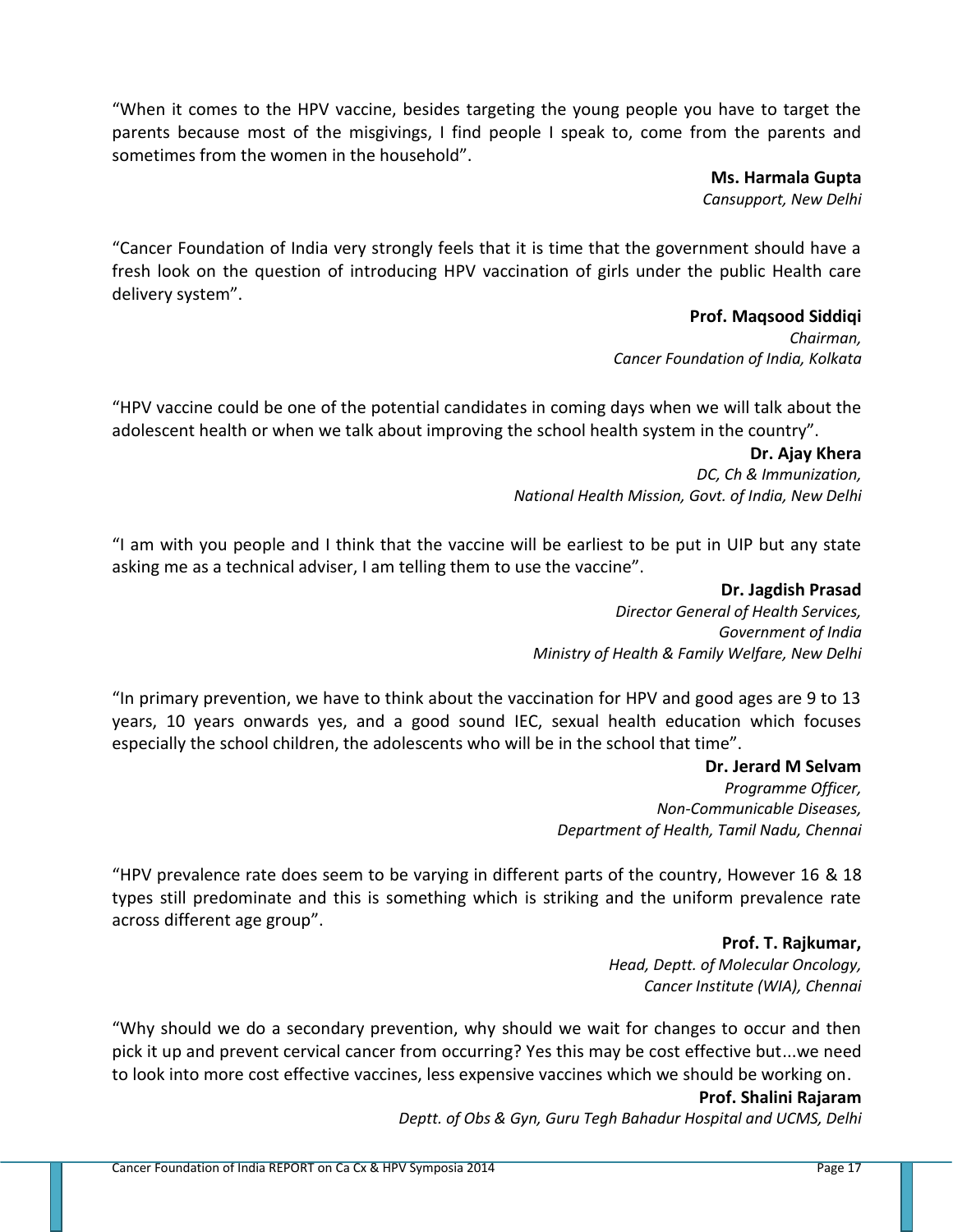"When it comes to the HPV vaccine, besides targeting the young people you have to target the parents because most of the misgivings, I find people I speak to, come from the parents and sometimes from the women in the household".

> **Ms. Harmala Gupta** *Cansupport, New Delhi*

"Cancer Foundation of India very strongly feels that it is time that the government should have a fresh look on the question of introducing HPV vaccination of girls under the public Health care delivery system".

### **Prof. Maqsood Siddiqi**

*Chairman, Cancer Foundation of India, Kolkata*

"HPV vaccine could be one of the potential candidates in coming days when we will talk about the adolescent health or when we talk about improving the school health system in the country".

> **Dr. Ajay Khera** *DC, Ch & Immunization, National Health Mission, Govt. of India, New Delhi*

"I am with you people and I think that the vaccine will be earliest to be put in UIP but any state asking me as a technical adviser, I am telling them to use the vaccine".

> **Dr. Jagdish Prasad** *Director General of Health Services, Government of India Ministry of Health & Family Welfare, New Delhi*

"In primary prevention, we have to think about the vaccination for HPV and good ages are 9 to 13 years, 10 years onwards yes, and a good sound IEC, sexual health education which focuses especially the school children, the adolescents who will be in the school that time".

> **Dr. Jerard M Selvam** *Programme Officer, Non-Communicable Diseases, Department of Health, Tamil Nadu, Chennai*

"HPV prevalence rate does seem to be varying in different parts of the country, However 16 & 18 types still predominate and this is something which is striking and the uniform prevalence rate across different age group".

> **Prof. T. Rajkumar,**  *Head, Deptt. of Molecular Oncology, Cancer Institute (WIA), Chennai*

"Why should we do a secondary prevention, why should we wait for changes to occur and then pick it up and prevent cervical cancer from occurring? Yes this may be cost effective but...we need to look into more cost effective vaccines, less expensive vaccines which we should be working on.

### **Prof. Shalini Rajaram**

*Deptt. of Obs & Gyn, Guru Tegh Bahadur Hospital and UCMS, Delhi*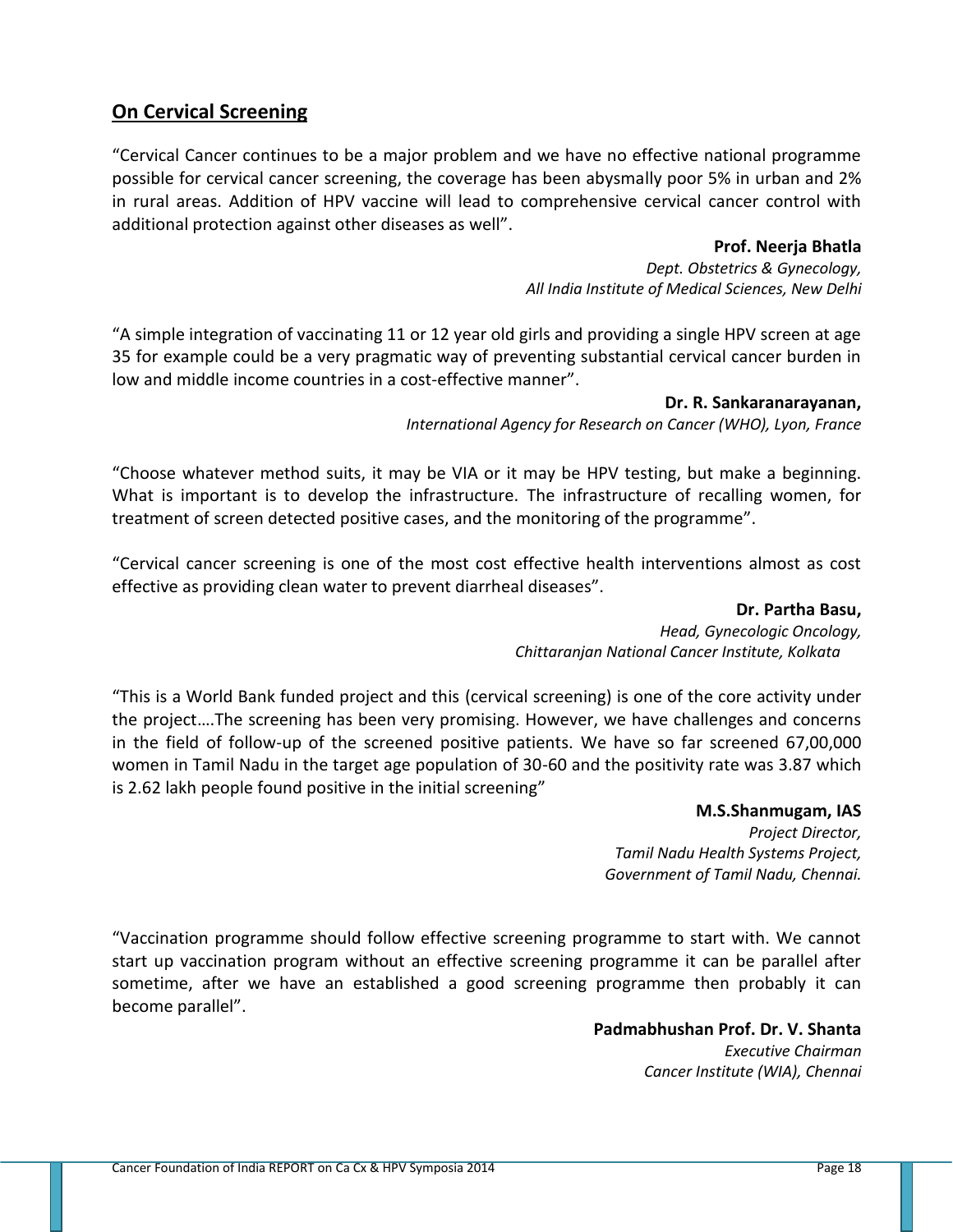### **On Cervical Screening**

"Cervical Cancer continues to be a major problem and we have no effective national programme possible for cervical cancer screening, the coverage has been abysmally poor 5% in urban and 2% in rural areas. Addition of HPV vaccine will lead to comprehensive cervical cancer control with additional protection against other diseases as well".

### **Prof. Neerja Bhatla**

*Dept. Obstetrics & Gynecology, All India Institute of Medical Sciences, New Delhi*

"A simple integration of vaccinating 11 or 12 year old girls and providing a single HPV screen at age 35 for example could be a very pragmatic way of preventing substantial cervical cancer burden in low and middle income countries in a cost-effective manner".

### **Dr. R. Sankaranarayanan,**

*International Agency for Research on Cancer (WHO), Lyon, France* 

"Choose whatever method suits, it may be VIA or it may be HPV testing, but make a beginning. What is important is to develop the infrastructure. The infrastructure of recalling women, for treatment of screen detected positive cases, and the monitoring of the programme".

"Cervical cancer screening is one of the most cost effective health interventions almost as cost effective as providing clean water to prevent diarrheal diseases".

> **Dr. Partha Basu,** *Head, Gynecologic Oncology, Chittaranjan National Cancer Institute, Kolkata*

"This is a World Bank funded project and this (cervical screening) is one of the core activity under the project….The screening has been very promising. However, we have challenges and concerns in the field of follow-up of the screened positive patients. We have so far screened 67,00,000 women in Tamil Nadu in the target age population of 30-60 and the positivity rate was 3.87 which is 2.62 lakh people found positive in the initial screening"

> **M.S.Shanmugam, IAS** *Project Director, Tamil Nadu Health Systems Project, Government of Tamil Nadu, Chennai.*

"Vaccination programme should follow effective screening programme to start with. We cannot start up vaccination program without an effective screening programme it can be parallel after sometime, after we have an established a good screening programme then probably it can become parallel".

> **Padmabhushan Prof. Dr. V. Shanta** *Executive Chairman Cancer Institute (WIA), Chennai*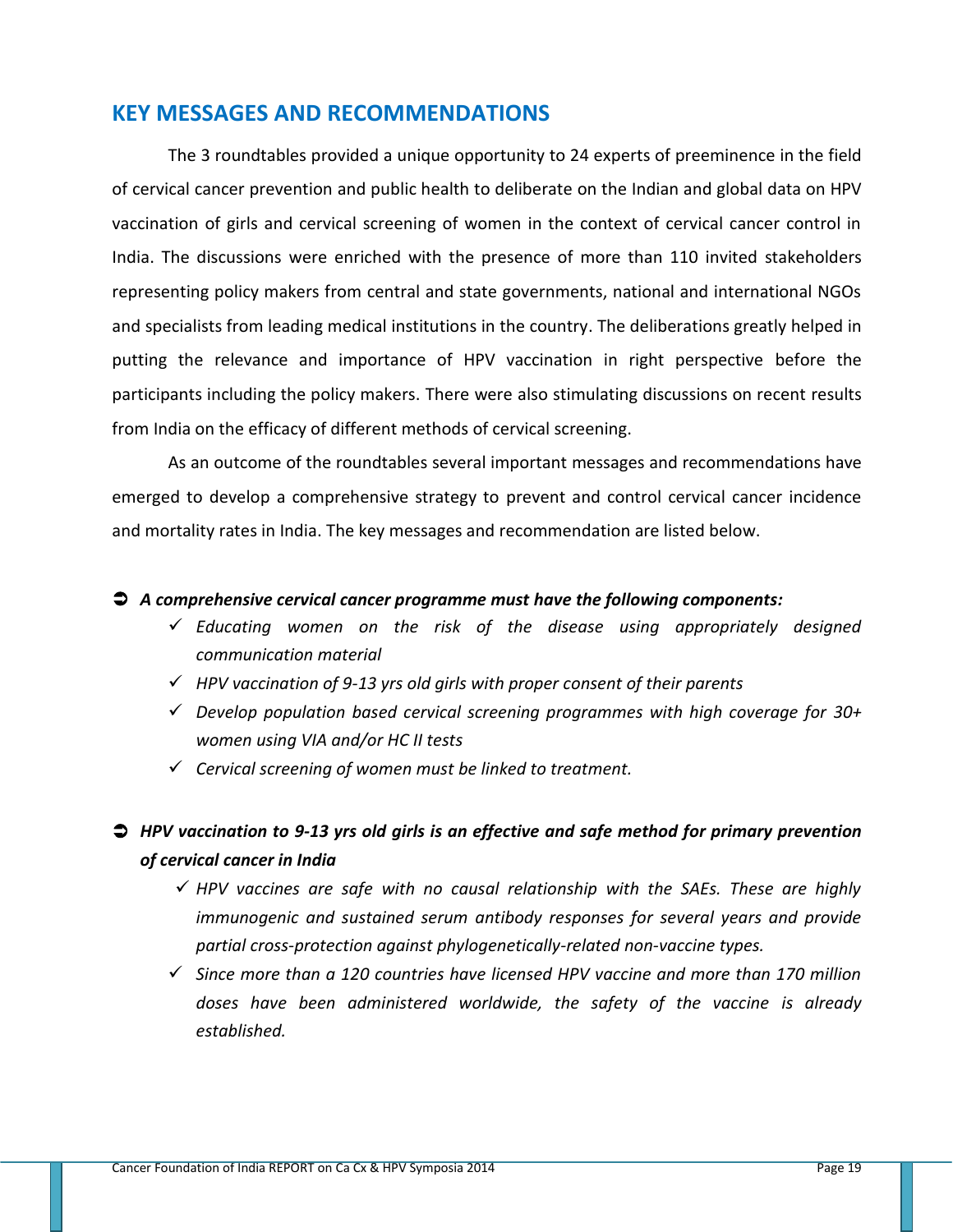### **KEY MESSAGES AND RECOMMENDATIONS**

The 3 roundtables provided a unique opportunity to 24 experts of preeminence in the field of cervical cancer prevention and public health to deliberate on the Indian and global data on HPV vaccination of girls and cervical screening of women in the context of cervical cancer control in India. The discussions were enriched with the presence of more than 110 invited stakeholders representing policy makers from central and state governments, national and international NGOs and specialists from leading medical institutions in the country. The deliberations greatly helped in putting the relevance and importance of HPV vaccination in right perspective before the participants including the policy makers. There were also stimulating discussions on recent results from India on the efficacy of different methods of cervical screening.

As an outcome of the roundtables several important messages and recommendations have emerged to develop a comprehensive strategy to prevent and control cervical cancer incidence and mortality rates in India. The key messages and recommendation are listed below.

### *A comprehensive cervical cancer programme must have the following components:*

- *Educating women on the risk of the disease using appropriately designed communication material*
- *HPV vaccination of 9-13 yrs old girls with proper consent of their parents*
- *Develop population based cervical screening programmes with high coverage for 30+ women using VIA and/or HC II tests*
- *Cervical screening of women must be linked to treatment.*

### *HPV vaccination to 9-13 yrs old girls is an effective and safe method for primary prevention of cervical cancer in India*

- $\checkmark$  HPV vaccines are safe with no causal relationship with the SAEs. These are highly *immunogenic and sustained serum antibody responses for several years and provide partial cross-protection against phylogenetically-related non-vaccine types.*
- *Since more than a 120 countries have licensed HPV vaccine and more than 170 million doses have been administered worldwide, the safety of the vaccine is already established.*